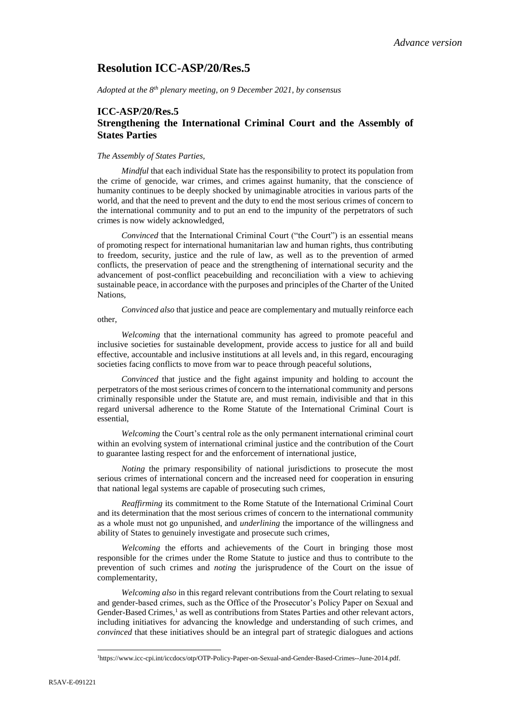# **Resolution ICC-ASP/20/Res.5**

*Adopted at the 8th plenary meeting, on 9 December 2021, by consensus*

## **ICC-ASP/20/Res.5 Strengthening the International Criminal Court and the Assembly of States Parties**

#### *The Assembly of States Parties,*

*Mindful* that each individual State has the responsibility to protect its population from the crime of genocide, war crimes, and crimes against humanity, that the conscience of humanity continues to be deeply shocked by unimaginable atrocities in various parts of the world, and that the need to prevent and the duty to end the most serious crimes of concern to the international community and to put an end to the impunity of the perpetrators of such crimes is now widely acknowledged,

*Convinced* that the International Criminal Court ("the Court") is an essential means of promoting respect for international humanitarian law and human rights, thus contributing to freedom, security, justice and the rule of law, as well as to the prevention of armed conflicts, the preservation of peace and the strengthening of international security and the advancement of post-conflict peacebuilding and reconciliation with a view to achieving sustainable peace, in accordance with the purposes and principles of the Charter of the United Nations,

*Convinced also* that justice and peace are complementary and mutually reinforce each other,

*Welcoming* that the international community has agreed to promote peaceful and inclusive societies for sustainable development, provide access to justice for all and build effective, accountable and inclusive institutions at all levels and, in this regard, encouraging societies facing conflicts to move from war to peace through peaceful solutions,

*Convinced* that justice and the fight against impunity and holding to account the perpetrators of the most serious crimes of concern to the international community and persons criminally responsible under the Statute are, and must remain, indivisible and that in this regard universal adherence to the Rome Statute of the International Criminal Court is essential,

*Welcoming* the Court's central role as the only permanent international criminal court within an evolving system of international criminal justice and the contribution of the Court to guarantee lasting respect for and the enforcement of international justice,

*Noting* the primary responsibility of national jurisdictions to prosecute the most serious crimes of international concern and the increased need for cooperation in ensuring that national legal systems are capable of prosecuting such crimes,

*Reaffirming* its commitment to the Rome Statute of the International Criminal Court and its determination that the most serious crimes of concern to the international community as a whole must not go unpunished, and *underlining* the importance of the willingness and ability of States to genuinely investigate and prosecute such crimes,

*Welcoming* the efforts and achievements of the Court in bringing those most responsible for the crimes under the Rome Statute to justice and thus to contribute to the prevention of such crimes and *noting* the jurisprudence of the Court on the issue of complementarity,

*Welcoming also* in this regard relevant contributions from the Court relating to sexual and gender-based crimes, such as the Office of the Prosecutor's Policy Paper on Sexual and Gender-Based Crimes,<sup>1</sup> as well as contributions from States Parties and other relevant actors, including initiatives for advancing the knowledge and understanding of such crimes, and *convinced* that these initiatives should be an integral part of strategic dialogues and actions

<sup>1</sup>[https://www.icc-cpi.int/iccdocs/otp/OTP-Policy-Paper-on-Sexual-and-Gender-Based-Crimes--June-2014.pdf.](https://www.icc-cpi.int/iccdocs/otp/OTP-Policy-Paper-on-Sexual-and-Gender-Based-Crimes--June-2014.pdf)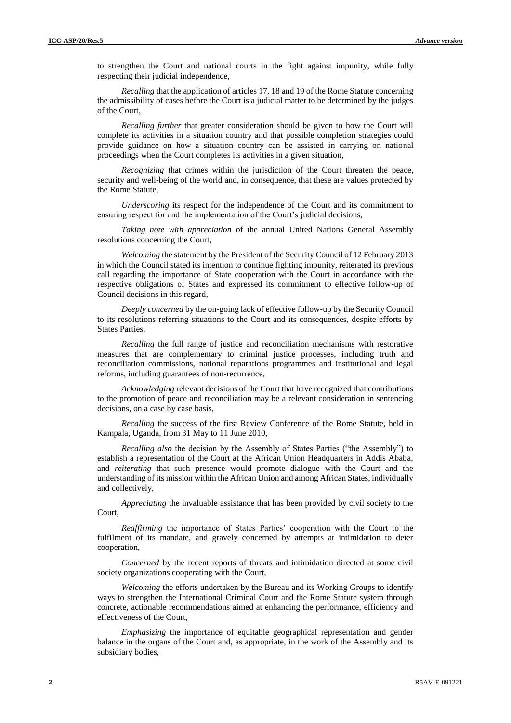to strengthen the Court and national courts in the fight against impunity, while fully respecting their judicial independence,

*Recalling* that the application of articles 17, 18 and 19 of the Rome Statute concerning the admissibility of cases before the Court is a judicial matter to be determined by the judges of the Court,

*Recalling further* that greater consideration should be given to how the Court will complete its activities in a situation country and that possible completion strategies could provide guidance on how a situation country can be assisted in carrying on national proceedings when the Court completes its activities in a given situation,

*Recognizing* that crimes within the jurisdiction of the Court threaten the peace, security and well-being of the world and, in consequence, that these are values protected by the Rome Statute,

*Underscoring* its respect for the independence of the Court and its commitment to ensuring respect for and the implementation of the Court's judicial decisions,

*Taking note with appreciation* of the annual United Nations General Assembly resolutions concerning the Court,

*Welcoming* the statement by the President of the Security Council of 12 February 2013 in which the Council stated its intention to continue fighting impunity, reiterated its previous call regarding the importance of State cooperation with the Court in accordance with the respective obligations of States and expressed its commitment to effective follow-up of Council decisions in this regard,

*Deeply concerned* by the on-going lack of effective follow-up by the Security Council to its resolutions referring situations to the Court and its consequences, despite efforts by States Parties,

*Recalling* the full range of justice and reconciliation mechanisms with restorative measures that are complementary to criminal justice processes, including truth and reconciliation commissions, national reparations programmes and institutional and legal reforms, including guarantees of non-recurrence,

*Acknowledging* relevant decisions of the Court that have recognized that contributions to the promotion of peace and reconciliation may be a relevant consideration in sentencing decisions, on a case by case basis,

*Recalling* the success of the first Review Conference of the Rome Statute, held in Kampala, Uganda, from 31 May to 11 June 2010,

*Recalling also* the decision by the Assembly of States Parties ("the Assembly") to establish a representation of the Court at the African Union Headquarters in Addis Ababa, and *reiterating* that such presence would promote dialogue with the Court and the understanding of its mission within the African Union and among African States, individually and collectively,

*Appreciating* the invaluable assistance that has been provided by civil society to the Court,

*Reaffirming* the importance of States Parties' cooperation with the Court to the fulfilment of its mandate, and gravely concerned by attempts at intimidation to deter cooperation,

*Concerned* by the recent reports of threats and intimidation directed at some civil society organizations cooperating with the Court,

*Welcoming* the efforts undertaken by the Bureau and its Working Groups to identify ways to strengthen the International Criminal Court and the Rome Statute system through concrete, actionable recommendations aimed at enhancing the performance, efficiency and effectiveness of the Court,

*Emphasizing* the importance of equitable geographical representation and gender balance in the organs of the Court and, as appropriate, in the work of the Assembly and its subsidiary bodies,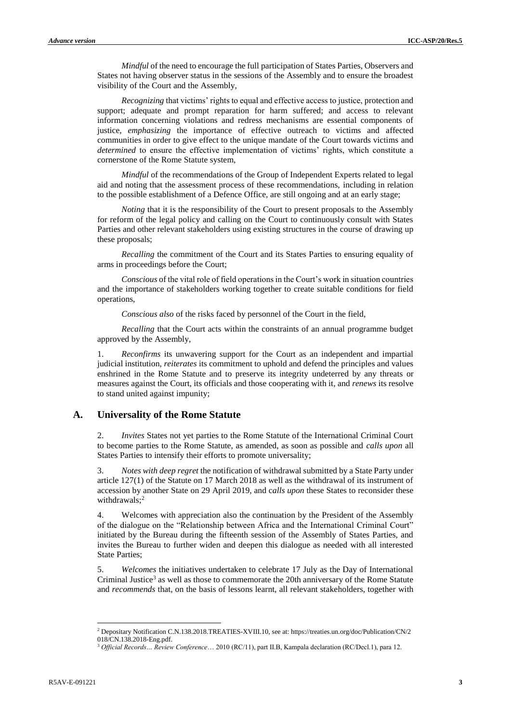*Mindful* of the need to encourage the full participation of States Parties, Observers and States not having observer status in the sessions of the Assembly and to ensure the broadest visibility of the Court and the Assembly,

*Recognizing* that victims' rights to equal and effective access to justice, protection and support; adequate and prompt reparation for harm suffered; and access to relevant information concerning violations and redress mechanisms are essential components of justice, *emphasizing* the importance of effective outreach to victims and affected communities in order to give effect to the unique mandate of the Court towards victims and *determined* to ensure the effective implementation of victims' rights, which constitute a cornerstone of the Rome Statute system,

*Mindful* of the recommendations of the Group of Independent Experts related to legal aid and noting that the assessment process of these recommendations, including in relation to the possible establishment of a Defence Office, are still ongoing and at an early stage;

*Noting* that it is the responsibility of the Court to present proposals to the Assembly for reform of the legal policy and calling on the Court to continuously consult with States Parties and other relevant stakeholders using existing structures in the course of drawing up these proposals;

*Recalling* the commitment of the Court and its States Parties to ensuring equality of arms in proceedings before the Court;

*Conscious* of the vital role of field operations in the Court's work in situation countries and the importance of stakeholders working together to create suitable conditions for field operations,

*Conscious also* of the risks faced by personnel of the Court in the field,

*Recalling* that the Court acts within the constraints of an annual programme budget approved by the Assembly,

1. *Reconfirms* its unwavering support for the Court as an independent and impartial judicial institution, *reiterates* its commitment to uphold and defend the principles and values enshrined in the Rome Statute and to preserve its integrity undeterred by any threats or measures against the Court, its officials and those cooperating with it, and *renews* its resolve to stand united against impunity;

#### **A. Universality of the Rome Statute**

2. *Invites* States not yet parties to the Rome Statute of the International Criminal Court to become parties to the Rome Statute, as amended, as soon as possible and *calls upon* all States Parties to intensify their efforts to promote universality;

3. *Notes with deep regret* the notification of withdrawal submitted by a State Party under article 127(1) of the Statute on 17 March 2018 as well as the withdrawal of its instrument of accession by another State on 29 April 2019, and c*alls upon* these States to reconsider these withdrawals; 2

4. Welcomes with appreciation also the continuation by the President of the Assembly of the dialogue on the "Relationship between Africa and the International Criminal Court" initiated by the Bureau during the fifteenth session of the Assembly of States Parties, and invites the Bureau to further widen and deepen this dialogue as needed with all interested State Parties;

5. *Welcomes* the initiatives undertaken to celebrate 17 July as the Day of International Criminal Justice<sup>3</sup> as well as those to commemorate the 20th anniversary of the Rome Statute and *recommends* that, on the basis of lessons learnt, all relevant stakeholders, together with

<sup>2</sup> Depositary Notification C.N.138.2018.TREATIES-XVIII.10, see at: https://treaties.un.org/doc/Publication/CN/2 018/CN.138.2018-Eng.pdf.

<sup>3</sup> *Official Records… Review Conference*… 2010 (RC/11), part II.B, Kampala declaration (RC/Decl.1), para 12.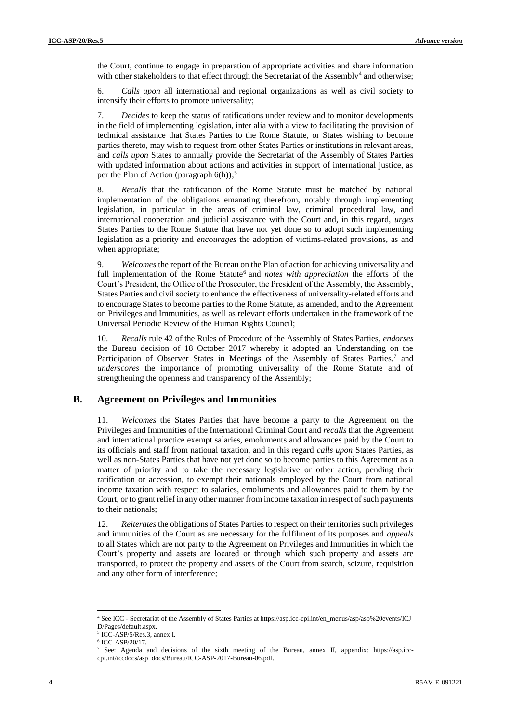the Court, continue to engage in preparation of appropriate activities and share information with other stakeholders to that effect through the Secretariat of the Assembly<sup>4</sup> and otherwise;

6. *Calls upon* all international and regional organizations as well as civil society to intensify their efforts to promote universality;

7. *Decides* to keep the status of ratifications under review and to monitor developments in the field of implementing legislation, inter alia with a view to facilitating the provision of technical assistance that States Parties to the Rome Statute, or States wishing to become parties thereto, may wish to request from other States Parties or institutions in relevant areas, and *calls upon* States to annually provide the Secretariat of the Assembly of States Parties with updated information about actions and activities in support of international justice, as per the Plan of Action (paragraph 6(h)); 5

8. *Recalls* that the ratification of the Rome Statute must be matched by national implementation of the obligations emanating therefrom, notably through implementing legislation, in particular in the areas of criminal law, criminal procedural law, and international cooperation and judicial assistance with the Court and, in this regard, *urges*  States Parties to the Rome Statute that have not yet done so to adopt such implementing legislation as a priority and *encourages* the adoption of victims-related provisions, as and when appropriate;

9. *Welcomes* the report of the Bureau on the Plan of action for achieving universality and full implementation of the Rome Statute<sup>6</sup> and *notes with appreciation* the efforts of the Court's President, the Office of the Prosecutor, the President of the Assembly, the Assembly, States Parties and civil society to enhance the effectiveness of universality-related efforts and to encourage States to become parties to the Rome Statute, as amended, and to the Agreement on Privileges and Immunities, as well as relevant efforts undertaken in the framework of the Universal Periodic Review of the Human Rights Council;

10. *Recalls* rule 42 of the Rules of Procedure of the Assembly of States Parties, *endorses* the Bureau decision of 18 October 2017 whereby it adopted an Understanding on the Participation of Observer States in Meetings of the Assembly of States Parties,<sup>7</sup> and *underscores* the importance of promoting universality of the Rome Statute and of strengthening the openness and transparency of the Assembly;

## **B. Agreement on Privileges and Immunities**

11. *Welcomes* the States Parties that have become a party to the Agreement on the Privileges and Immunities of the International Criminal Court and *recalls* that the Agreement and international practice exempt salaries, emoluments and allowances paid by the Court to its officials and staff from national taxation, and in this regard *calls upon* States Parties, as well as non-States Parties that have not yet done so to become parties to this Agreement as a matter of priority and to take the necessary legislative or other action, pending their ratification or accession, to exempt their nationals employed by the Court from national income taxation with respect to salaries, emoluments and allowances paid to them by the Court, or to grant relief in any other manner from income taxation in respect of such payments to their nationals;

12. *Reiterates* the obligations of States Parties to respect on their territories such privileges and immunities of the Court as are necessary for the fulfilment of its purposes and *appeals*  to all States which are not party to the Agreement on Privileges and Immunities in which the Court's property and assets are located or through which such property and assets are transported, to protect the property and assets of the Court from search, seizure, requisition and any other form of interference;

<sup>4</sup> See ICC - Secretariat of the Assembly of States Parties at [https://asp.icc-cpi.int/en\\_menus/asp/asp%20events/ICJ](https://asp.icccpi.int/en_menus/asp/asp%20events/ICJD/Pages/default.aspx) [D/Pages/default.aspx.](https://asp.icccpi.int/en_menus/asp/asp%20events/ICJD/Pages/default.aspx)

<sup>5</sup> ICC-ASP/5/Res.3, annex I.

<sup>6</sup> ICC-ASP/20/17.

<sup>7</sup> See: Agenda and decisions of the sixth meeting of the Bureau, annex II, appendix: [https://asp.icc](https://asp.icc-cpi.int/iccdocs/asp_docs/Bureau/ICC-ASP-2017-Bureau-06.pdf)[cpi.int/iccdocs/asp\\_docs/Bureau/ICC-ASP-2017-Bureau-06.pdf.](https://asp.icc-cpi.int/iccdocs/asp_docs/Bureau/ICC-ASP-2017-Bureau-06.pdf)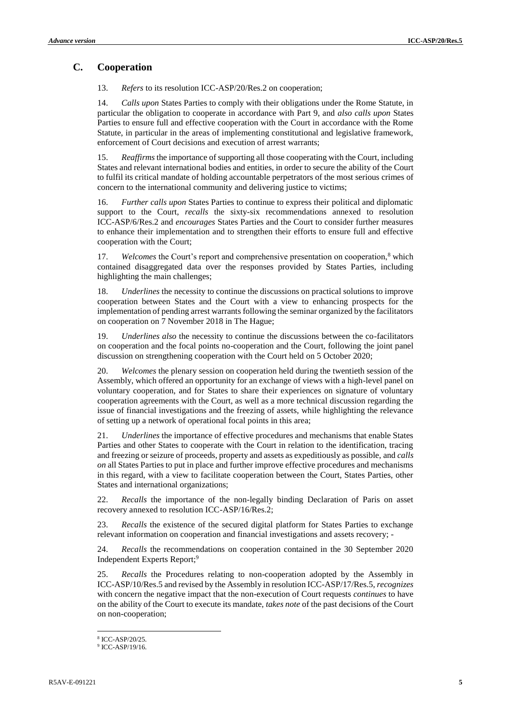# **C. Cooperation**

13. *Refers* to its resolution ICC-ASP/20/Res.2 on cooperation;

14. *Calls upon* States Parties to comply with their obligations under the Rome Statute, in particular the obligation to cooperate in accordance with Part 9, and *also calls upon* States Parties to ensure full and effective cooperation with the Court in accordance with the Rome Statute, in particular in the areas of implementing constitutional and legislative framework, enforcement of Court decisions and execution of arrest warrants;

15. *Reaffirms* the importance of supporting all those cooperating with the Court, including States and relevant international bodies and entities, in order to secure the ability of the Court to fulfil its critical mandate of holding accountable perpetrators of the most serious crimes of concern to the international community and delivering justice to victims;

16. *Further calls upon* States Parties to continue to express their political and diplomatic support to the Court, *recalls* the sixty-six recommendations annexed to resolution ICC-ASP/6/Res.2 and *encourages* States Parties and the Court to consider further measures to enhance their implementation and to strengthen their efforts to ensure full and effective cooperation with the Court;

17. *Welcomes* the Court's report and comprehensive presentation on cooperation,<sup>8</sup> which contained disaggregated data over the responses provided by States Parties, including highlighting the main challenges;

18. *Underlines* the necessity to continue the discussions on practical solutions to improve cooperation between States and the Court with a view to enhancing prospects for the implementation of pending arrest warrants following the seminar organized by the facilitators on cooperation on 7 November 2018 in The Hague;

19. *Underlines also* the necessity to continue the discussions between the co-facilitators on cooperation and the focal points no-cooperation and the Court, following the joint panel discussion on strengthening cooperation with the Court held on 5 October 2020;

20. *Welcomes* the plenary session on cooperation held during the twentieth session of the Assembly, which offered an opportunity for an exchange of views with a high-level panel on voluntary cooperation, and for States to share their experiences on signature of voluntary cooperation agreements with the Court, as well as a more technical discussion regarding the issue of financial investigations and the freezing of assets, while highlighting the relevance of setting up a network of operational focal points in this area;

21. *Underlines* the importance of effective procedures and mechanisms that enable States Parties and other States to cooperate with the Court in relation to the identification, tracing and freezing or seizure of proceeds, property and assets as expeditiously as possible, and *calls on* all States Parties to put in place and further improve effective procedures and mechanisms in this regard, with a view to facilitate cooperation between the Court, States Parties, other States and international organizations;

22. *Recalls* the importance of the non-legally binding Declaration of Paris on asset recovery annexed to resolution ICC-ASP/16/Res.2;

23. *Recalls* the existence of the secured digital platform for States Parties to exchange relevant information on cooperation and financial investigations and assets recovery; *-*

24. *Recalls* the recommendations on cooperation contained in the 30 September 2020 Independent Experts Report;<sup>9</sup>

25. *Recalls* the Procedures relating to non-cooperation adopted by the Assembly in ICC-ASP/10/Res.5 and revised by the Assembly in resolution ICC-ASP/17/Res.5, *recognizes* with concern the negative impact that the non-execution of Court requests *continues* to have on the ability of the Court to execute its mandate, *takes note* of the past decisions of the Court on non-cooperation;

<sup>8</sup> ICC-ASP/20/25.

<sup>9</sup> ICC-ASP/19/16.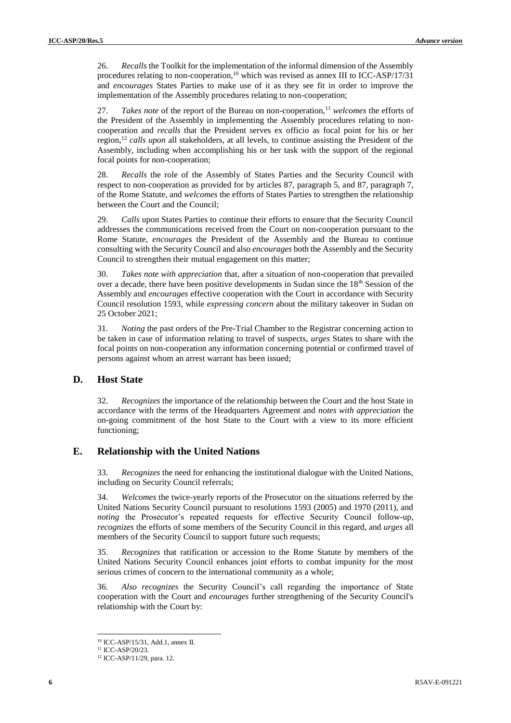26. *Recalls* the Toolkit for the implementation of the informal dimension of the Assembly procedures relating to non-cooperation,<sup>10</sup> which was revised as annex III to ICC-ASP/17/31 and *encourages* States Parties to make use of it as they see fit in order to improve the implementation of the Assembly procedures relating to non-cooperation;

27. *Takes note* of the report of the Bureau on non-cooperation,<sup>11</sup> welcomes the efforts of the President of the Assembly in implementing the Assembly procedures relating to noncooperation and *recalls* that the President serves ex officio as focal point for his or her region,<sup>12</sup> *calls upon* all stakeholders, at all levels, to continue assisting the President of the Assembly, including when accomplishing his or her task with the support of the regional focal points for non-cooperation;

28. *Recalls* the role of the Assembly of States Parties and the Security Council with respect to non-cooperation as provided for by articles 87, paragraph 5, and 87, paragraph 7, of the Rome Statute, and *welcomes* the efforts of States Parties to strengthen the relationship between the Court and the Council;

29. *Calls* upon States Parties to continue their efforts to ensure that the Security Council addresses the communications received from the Court on non-cooperation pursuant to the Rome Statute, *encourages* the President of the Assembly and the Bureau to continue consulting with the Security Council and also *encourages* both the Assembly and the Security Council to strengthen their mutual engagement on this matter;

30. *Takes note with appreciation* that, after a situation of non-cooperation that prevailed over a decade, there have been positive developments in Sudan since the  $18<sup>th</sup>$  Session of the Assembly and *encourages* effective cooperation with the Court in accordance with Security Council resolution 1593, while *expressing concern* about the military takeover in Sudan on 25 October 2021;

31. *Noting* the past orders of the Pre-Trial Chamber to the Registrar concerning action to be taken in case of information relating to travel of suspects, *urges* States to share with the focal points on non-cooperation any information concerning potential or confirmed travel of persons against whom an arrest warrant has been issued;

## **D. Host State**

32. *Recognizes* the importance of the relationship between the Court and the host State in accordance with the terms of the Headquarters Agreement and *notes with appreciation* the on-going commitment of the host State to the Court with a view to its more efficient functioning;

### **E. Relationship with the United Nations**

33. *Recognizes* the need for enhancing the institutional dialogue with the United Nations, including on Security Council referrals;

34. *Welcomes* the twice-yearly reports of the Prosecutor on the situations referred by the United Nations Security Council pursuant to resolutions 1593 (2005) and 1970 (2011), and *noting* the Prosecutor's repeated requests for effective Security Council follow-up, *recognizes* the efforts of some members of the Security Council in this regard, and *urges* all members of the Security Council to support future such requests;

35. *Recognizes* that ratification or accession to the Rome Statute by members of the United Nations Security Council enhances joint efforts to combat impunity for the most serious crimes of concern to the international community as a whole;

36. *Also recognizes* the Security Council's call regarding the importance of State cooperation with the Court and *encourages* further strengthening of the Security Council's relationship with the Court by:

<sup>10</sup> ICC-ASP/15/31, Add.1, annex II.

<sup>11</sup> ICC-ASP/20/23.

<sup>12</sup> ICC-ASP/11/29, para. 12.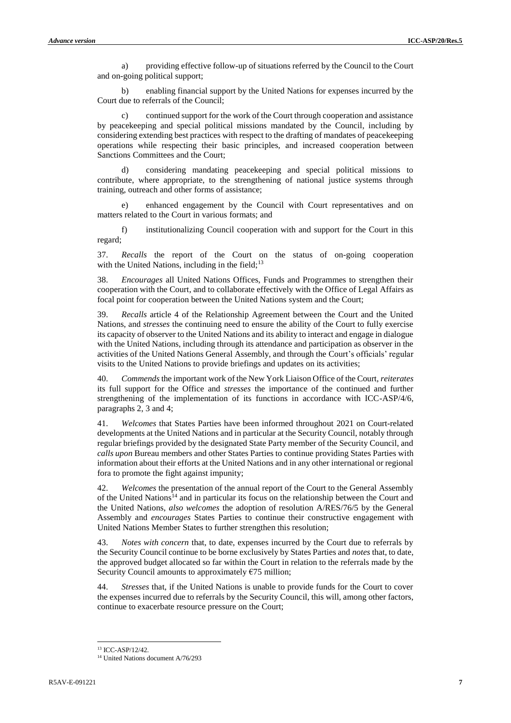a) providing effective follow-up of situations referred by the Council to the Court and on-going political support;

b) enabling financial support by the United Nations for expenses incurred by the Court due to referrals of the Council;

c) continued support for the work of the Court through cooperation and assistance by peacekeeping and special political missions mandated by the Council, including by considering extending best practices with respect to the drafting of mandates of peacekeeping operations while respecting their basic principles, and increased cooperation between Sanctions Committees and the Court;

d) considering mandating peacekeeping and special political missions to contribute, where appropriate, to the strengthening of national justice systems through training, outreach and other forms of assistance;

e) enhanced engagement by the Council with Court representatives and on matters related to the Court in various formats; and

f) institutionalizing Council cooperation with and support for the Court in this regard;

37. *Recalls* the report of the Court on the status of on-going cooperation with the United Nations, including in the field; $13$ 

38. *Encourages* all United Nations Offices, Funds and Programmes to strengthen their cooperation with the Court, and to collaborate effectively with the Office of Legal Affairs as focal point for cooperation between the United Nations system and the Court;

39. *Recalls* article 4 of the Relationship Agreement between the Court and the United Nations, and *stresses* the continuing need to ensure the ability of the Court to fully exercise its capacity of observer to the United Nations and its ability to interact and engage in dialogue with the United Nations, including through its attendance and participation as observer in the activities of the United Nations General Assembly, and through the Court's officials' regular visits to the United Nations to provide briefings and updates on its activities;

40. *Commends* the important work of the New York Liaison Office of the Court, *reiterates* its full support for the Office and *stresses* the importance of the continued and further strengthening of the implementation of its functions in accordance with ICC-ASP/4/6, paragraphs 2, 3 and 4;

41. *Welcomes* that States Parties have been informed throughout 2021 on Court-related developments at the United Nations and in particular at the Security Council, notably through regular briefings provided by the designated State Party member of the Security Council, and *calls upon* Bureau members and other States Parties to continue providing States Parties with information about their efforts at the United Nations and in any other international or regional fora to promote the fight against impunity;

42. *Welcomes* the presentation of the annual report of the Court to the General Assembly of the United Nations<sup>14</sup> and in particular its focus on the relationship between the Court and the United Nations, *also welcomes* the adoption of resolution A/RES/76/5 by the General Assembly and *encourages* States Parties to continue their constructive engagement with United Nations Member States to further strengthen this resolution;

43. *Notes with concern* that, to date, expenses incurred by the Court due to referrals by the Security Council continue to be borne exclusively by States Parties and *notes* that, to date, the approved budget allocated so far within the Court in relation to the referrals made by the Security Council amounts to approximately  $\epsilon$ 75 million;

44. *Stresses* that, if the United Nations is unable to provide funds for the Court to cover the expenses incurred due to referrals by the Security Council, this will, among other factors, continue to exacerbate resource pressure on the Court;

<sup>13</sup> ICC-ASP/12/42.

<sup>&</sup>lt;sup>14</sup> United Nations document A/76/293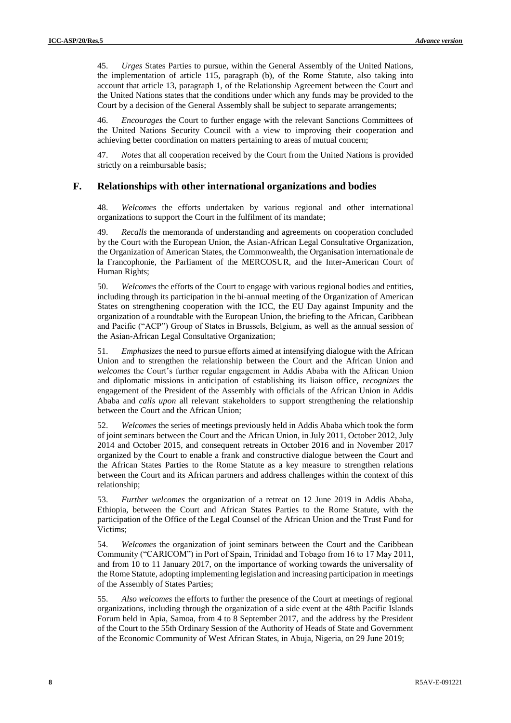45. *Urges* States Parties to pursue, within the General Assembly of the United Nations, the implementation of article 115, paragraph (b), of the Rome Statute, also taking into account that article 13, paragraph 1, of the Relationship Agreement between the Court and the United Nations states that the conditions under which any funds may be provided to the Court by a decision of the General Assembly shall be subject to separate arrangements;

46. *Encourages* the Court to further engage with the relevant Sanctions Committees of the United Nations Security Council with a view to improving their cooperation and achieving better coordination on matters pertaining to areas of mutual concern;

47. *Notes* that all cooperation received by the Court from the United Nations is provided strictly on a reimbursable basis;

### **F. Relationships with other international organizations and bodies**

48. *Welcomes* the efforts undertaken by various regional and other international organizations to support the Court in the fulfilment of its mandate;

49. *Recalls* the memoranda of understanding and agreements on cooperation concluded by the Court with the European Union, the Asian-African Legal Consultative Organization, the Organization of American States, the Commonwealth, the Organisation internationale de la Francophonie, the Parliament of the MERCOSUR, and the Inter-American Court of Human Rights;

50. *Welcomes* the efforts of the Court to engage with various regional bodies and entities, including through its participation in the bi-annual meeting of the Organization of American States on strengthening cooperation with the ICC, the EU Day against Impunity and the organization of a roundtable with the European Union, the briefing to the African, Caribbean and Pacific ("ACP") Group of States in Brussels, Belgium, as well as the annual session of the Asian-African Legal Consultative Organization;

51. *Emphasizes* the need to pursue efforts aimed at intensifying dialogue with the African Union and to strengthen the relationship between the Court and the African Union and *welcomes* the Court's further regular engagement in Addis Ababa with the African Union and diplomatic missions in anticipation of establishing its liaison office, *recognizes* the engagement of the President of the Assembly with officials of the African Union in Addis Ababa and *calls upon* all relevant stakeholders to support strengthening the relationship between the Court and the African Union;

52. *Welcomes* the series of meetings previously held in Addis Ababa which took the form of joint seminars between the Court and the African Union, in July 2011, October 2012, July 2014 and October 2015, and consequent retreats in October 2016 and in November 2017 organized by the Court to enable a frank and constructive dialogue between the Court and the African States Parties to the Rome Statute as a key measure to strengthen relations between the Court and its African partners and address challenges within the context of this relationship;

53. *Further welcomes* the organization of a retreat on 12 June 2019 in Addis Ababa, Ethiopia, between the Court and African States Parties to the Rome Statute, with the participation of the Office of the Legal Counsel of the African Union and the Trust Fund for Victims;

54. *Welcomes* the organization of joint seminars between the Court and the Caribbean Community ("CARICOM") in Port of Spain, Trinidad and Tobago from 16 to 17 May 2011, and from 10 to 11 January 2017, on the importance of working towards the universality of the Rome Statute, adopting implementing legislation and increasing participation in meetings of the Assembly of States Parties;

55. *Also welcomes* the efforts to further the presence of the Court at meetings of regional organizations, including through the organization of a side event at the 48th Pacific Islands Forum held in Apia, Samoa, from 4 to 8 September 2017, and the address by the President of the Court to the 55th Ordinary Session of the Authority of Heads of State and Government of the Economic Community of West African States, in Abuja, Nigeria, on 29 June 2019;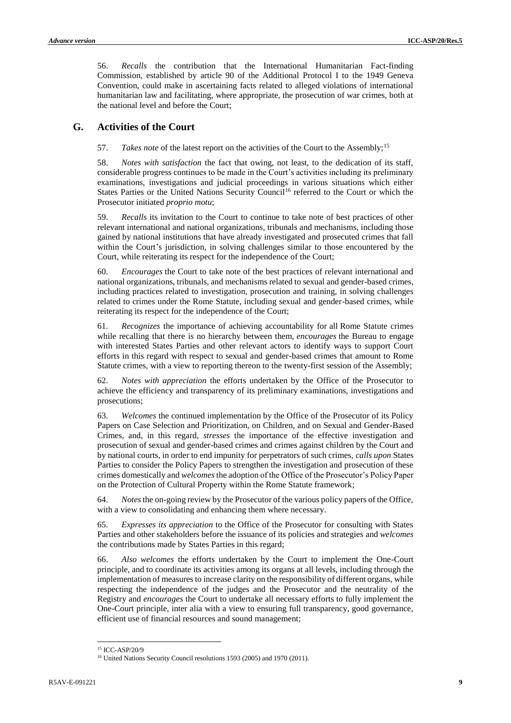56. *Recalls* the contribution that the International Humanitarian Fact-finding Commission, established by article 90 of the Additional Protocol I to the 1949 Geneva Convention, could make in ascertaining facts related to alleged violations of international humanitarian law and facilitating, where appropriate, the prosecution of war crimes, both at the national level and before the Court;

### **G. Activities of the Court**

57. *Takes note* of the latest report on the activities of the Court to the Assembly;<sup>15</sup>

58. *Notes with satisfaction* the fact that owing, not least, to the dedication of its staff, considerable progress continues to be made in the Court's activities including its preliminary examinations, investigations and judicial proceedings in various situations which either States Parties or the United Nations Security Council<sup>16</sup> referred to the Court or which the Prosecutor initiated *proprio motu*;

59. *Recalls* its invitation to the Court to continue to take note of best practices of other relevant international and national organizations, tribunals and mechanisms, including those gained by national institutions that have already investigated and prosecuted crimes that fall within the Court's jurisdiction, in solving challenges similar to those encountered by the Court, while reiterating its respect for the independence of the Court;

60. *Encourages* the Court to take note of the best practices of relevant international and national organizations, tribunals, and mechanisms related to sexual and gender-based crimes, including practices related to investigation, prosecution and training, in solving challenges related to crimes under the Rome Statute, including sexual and gender-based crimes, while reiterating its respect for the independence of the Court;

61. *Recognizes* the importance of achieving accountability for all Rome Statute crimes while recalling that there is no hierarchy between them, *encourages* the Bureau to engage with interested States Parties and other relevant actors to identify ways to support Court efforts in this regard with respect to sexual and gender-based crimes that amount to Rome Statute crimes, with a view to reporting thereon to the twenty-first session of the Assembly;

62. *Notes with appreciation* the efforts undertaken by the Office of the Prosecutor to achieve the efficiency and transparency of its preliminary examinations, investigations and prosecutions;

63. *Welcomes* the continued implementation by the Office of the Prosecutor of its Policy Papers on Case Selection and Prioritization, on Children, and on Sexual and Gender-Based Crimes, and, in this regard, *stresses* the importance of the effective investigation and prosecution of sexual and gender-based crimes and crimes against children by the Court and by national courts, in order to end impunity for perpetrators of such crimes, *calls upon* States Parties to consider the Policy Papers to strengthen the investigation and prosecution of these crimes domestically and *welcomes* the adoption of the Office of the Prosecutor's Policy Paper on the Protection of Cultural Property within the Rome Statute framework;

64. *Notes* the on-going review by the Prosecutor of the various policy papers of the Office, with a view to consolidating and enhancing them where necessary.

65. *Expresses its appreciation* to the Office of the Prosecutor for consulting with States Parties and other stakeholders before the issuance of its policies and strategies and *welcomes* the contributions made by States Parties in this regard;

66. *Also welcomes* the efforts undertaken by the Court to implement the One-Court principle, and to coordinate its activities among its organs at all levels, including through the implementation of measures to increase clarity on the responsibility of different organs, while respecting the independence of the judges and the Prosecutor and the neutrality of the Registry and *encourages* the Court to undertake all necessary efforts to fully implement the One-Court principle, inter alia with a view to ensuring full transparency, good governance, efficient use of financial resources and sound management;

<sup>15</sup> ICC-ASP/20/9

<sup>&</sup>lt;sup>16</sup> United Nations Security Council resolutions 1593 (2005) and 1970 (2011).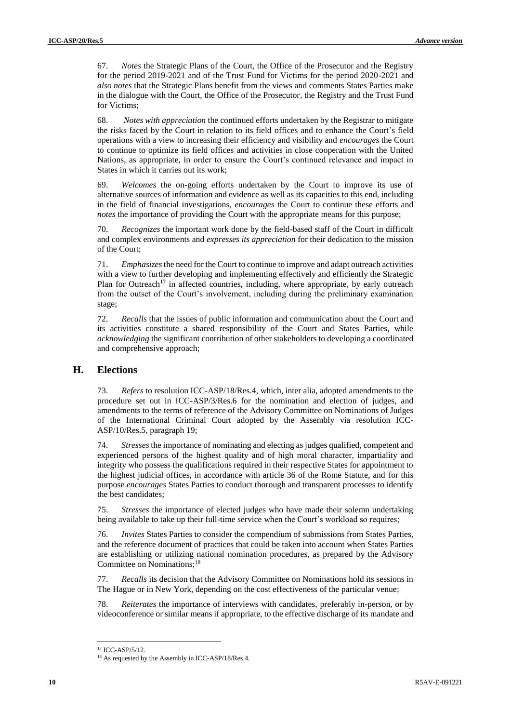67. *Notes* the Strategic Plans of the Court, the Office of the Prosecutor and the Registry for the period 2019-2021 and of the Trust Fund for Victims for the period 2020-2021 and *also notes* that the Strategic Plans benefit from the views and comments States Parties make in the dialogue with the Court, the Office of the Prosecutor, the Registry and the Trust Fund for Victims;

68. *Notes with appreciation* the continued efforts undertaken by the Registrar to mitigate the risks faced by the Court in relation to its field offices and to enhance the Court's field operations with a view to increasing their efficiency and visibility and *encourages* the Court to continue to optimize its field offices and activities in close cooperation with the United Nations, as appropriate, in order to ensure the Court's continued relevance and impact in States in which it carries out its work;

69. *Welcomes* the on-going efforts undertaken by the Court to improve its use of alternative sources of information and evidence as well as its capacities to this end, including in the field of financial investigations, *encourages* the Court to continue these efforts and *notes* the importance of providing the Court with the appropriate means for this purpose;

70. *Recognizes* the important work done by the field-based staff of the Court in difficult and complex environments and *expresses its appreciation* for their dedication to the mission of the Court;

71. *Emphasizes* the need for the Court to continue to improve and adapt outreach activities with a view to further developing and implementing effectively and efficiently the Strategic Plan for Outreach<sup>17</sup> in affected countries, including, where appropriate, by early outreach from the outset of the Court's involvement, including during the preliminary examination stage;

72. *Recalls* that the issues of public information and communication about the Court and its activities constitute a shared responsibility of the Court and States Parties, while *acknowledging* the significant contribution of other stakeholders to developing a coordinated and comprehensive approach;

## **H. Elections**

73. *Refers* to resolution ICC-ASP/18/Res.4, which, inter alia, adopted amendments to the procedure set out in ICC-ASP/3/Res.6 for the nomination and election of judges, and amendments to the terms of reference of the Advisory Committee on Nominations of Judges of the International Criminal Court adopted by the Assembly via resolution ICC-ASP/10/Res.5, paragraph 19;

74. *Stresses* the importance of nominating and electing as judges qualified, competent and experienced persons of the highest quality and of high moral character, impartiality and integrity who possess the qualifications required in their respective States for appointment to the highest judicial offices, in accordance with article 36 of the Rome Statute, and for this purpose *encourages* States Parties to conduct thorough and transparent processes to identify the best candidates;

75. *Stresses* the importance of elected judges who have made their solemn undertaking being available to take up their full-time service when the Court's workload so requires;

76. *Invites* States Parties to consider the compendium of submissions from States Parties, and the reference document of practices that could be taken into account when States Parties are establishing or utilizing national nomination procedures, as prepared by the Advisory Committee on Nominations;<sup>18</sup>

77. *Recalls* its decision that the Advisory Committee on Nominations hold its sessions in The Hague or in New York, depending on the cost effectiveness of the particular venue;

78. *Reiterates* the importance of interviews with candidates, preferably in-person, or by videoconference or similar means if appropriate, to the effective discharge of its mandate and

<sup>17</sup> ICC-ASP/5/12.

<sup>&</sup>lt;sup>18</sup> As requested by the Assembly in ICC-ASP/18/Res.4.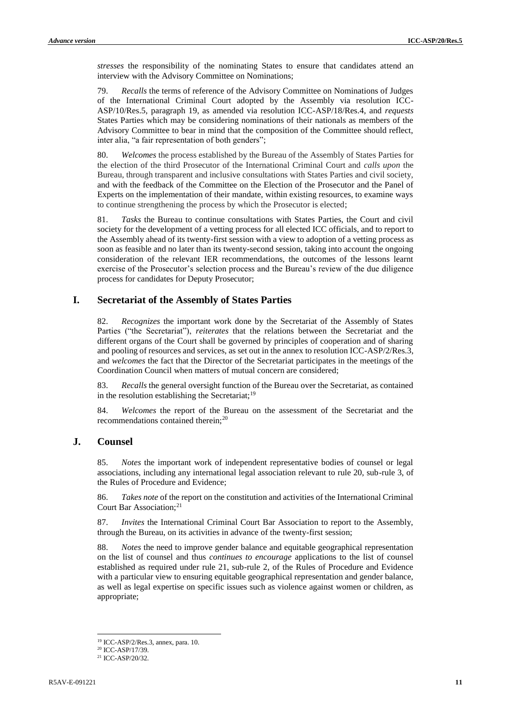*stresses* the responsibility of the nominating States to ensure that candidates attend an interview with the Advisory Committee on Nominations;

79. *Recalls* the terms of reference of the Advisory Committee on Nominations of Judges of the International Criminal Court adopted by the Assembly via resolution ICC-ASP/10/Res.5, paragraph 19, as amended via resolution ICC-ASP/18/Res.4, and *requests* States Parties which may be considering nominations of their nationals as members of the Advisory Committee to bear in mind that the composition of the Committee should reflect, inter alia, "a fair representation of both genders";

80. *Welcomes* the process established by the Bureau of the Assembly of States Parties for the election of the third Prosecutor of the International Criminal Court and *calls upon* the Bureau, through transparent and inclusive consultations with States Parties and civil society, and with the feedback of the Committee on the Election of the Prosecutor and the Panel of Experts on the implementation of their mandate, within existing resources, to examine ways to continue strengthening the process by which the Prosecutor is elected;

81. *Tasks* the Bureau to continue consultations with States Parties, the Court and civil society for the development of a vetting process for all elected ICC officials, and to report to the Assembly ahead of its twenty-first session with a view to adoption of a vetting process as soon as feasible and no later than its twenty-second session, taking into account the ongoing consideration of the relevant IER recommendations, the outcomes of the lessons learnt exercise of the Prosecutor's selection process and the Bureau's review of the due diligence process for candidates for Deputy Prosecutor;

## **I. Secretariat of the Assembly of States Parties**

82. *Recognizes* the important work done by the Secretariat of the Assembly of States Parties ("the Secretariat"), *reiterates* that the relations between the Secretariat and the different organs of the Court shall be governed by principles of cooperation and of sharing and pooling of resources and services, as set out in the annex to resolution ICC-ASP/2/Res.3, and *welcomes* the fact that the Director of the Secretariat participates in the meetings of the Coordination Council when matters of mutual concern are considered;

83. *Recalls* the general oversight function of the Bureau over the Secretariat, as contained in the resolution establishing the Secretariat; $19$ 

84. *Welcomes* the report of the Bureau on the assessment of the Secretariat and the recommendations contained therein;<sup>20</sup>

## **J. Counsel**

85. *Notes* the important work of independent representative bodies of counsel or legal associations, including any international legal association relevant to rule 20, sub-rule 3, of the Rules of Procedure and Evidence;

86. *Takes note* of the report on the constitution and activities of the International Criminal Court Bar Association;<sup>21</sup>

87. *Invites* the International Criminal Court Bar Association to report to the Assembly, through the Bureau, on its activities in advance of the twenty-first session;

88. *Notes* the need to improve gender balance and equitable geographical representation on the list of counsel and thus *continues to encourage* applications to the list of counsel established as required under rule 21, sub-rule 2, of the Rules of Procedure and Evidence with a particular view to ensuring equitable geographical representation and gender balance, as well as legal expertise on specific issues such as violence against women or children, as appropriate;

<sup>19</sup> ICC-ASP/2/Res.3, annex, para. 10.

<sup>&</sup>lt;sup>20</sup> ICC-ASP/17/39.

<sup>21</sup> ICC-ASP/20/32.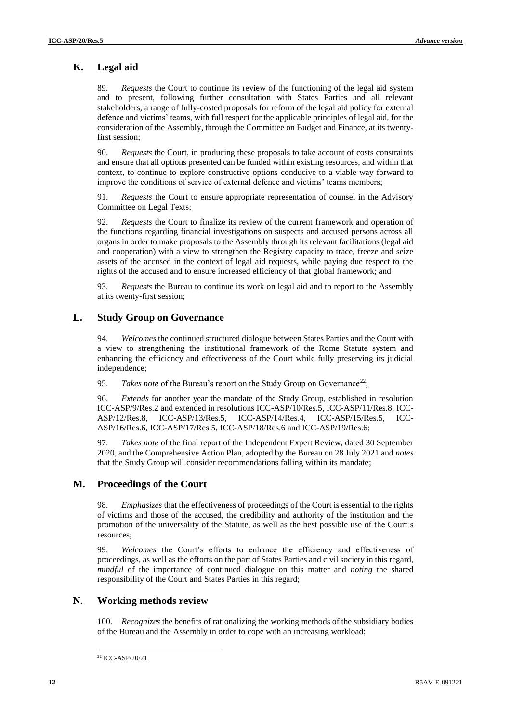# **K. Legal aid**

89. *Requests* the Court to continue its review of the functioning of the legal aid system and to present, following further consultation with States Parties and all relevant stakeholders, a range of fully-costed proposals for reform of the legal aid policy for external defence and victims' teams, with full respect for the applicable principles of legal aid, for the consideration of the Assembly, through the Committee on Budget and Finance, at its twentyfirst session;

90. *Requests* the Court, in producing these proposals to take account of costs constraints and ensure that all options presented can be funded within existing resources, and within that context, to continue to explore constructive options conducive to a viable way forward to improve the conditions of service of external defence and victims' teams members;

91. *Requests* the Court to ensure appropriate representation of counsel in the Advisory Committee on Legal Texts;

92. *Requests* the Court to finalize its review of the current framework and operation of the functions regarding financial investigations on suspects and accused persons across all organs in order to make proposals to the Assembly through its relevant facilitations (legal aid and cooperation) with a view to strengthen the Registry capacity to trace, freeze and seize assets of the accused in the context of legal aid requests, while paying due respect to the rights of the accused and to ensure increased efficiency of that global framework; and

93. *Requests* the Bureau to continue its work on legal aid and to report to the Assembly at its twenty-first session;

## **L. Study Group on Governance**

94. *Welcomes* the continued structured dialogue between States Parties and the Court with a view to strengthening the institutional framework of the Rome Statute system and enhancing the efficiency and effectiveness of the Court while fully preserving its judicial independence;

95. *Takes note* of the Bureau's report on the Study Group on Governance<sup>22</sup>;

96. *Extends* for another year the mandate of the Study Group, established in resolution ICC-ASP/9/Res.2 and extended in resolutions ICC-ASP/10/Res.5, ICC-ASP/11/Res.8, ICC-ASP/12/Res.8, ICC-ASP/13/Res.5, ICC-ASP/14/Res.4, ICC-ASP/15/Res.5, ICC-ASP/16/Res.6, ICC-ASP/17/Res.5, ICC-ASP/18/Res.6 and ICC-ASP/19/Res.6;

97. *Takes note* of the final report of the Independent Expert Review, dated 30 September 2020, and the Comprehensive Action Plan, adopted by the Bureau on 28 July 2021 and *notes*  that the Study Group will consider recommendations falling within its mandate;

## **M. Proceedings of the Court**

98. *Emphasizes* that the effectiveness of proceedings of the Court is essential to the rights of victims and those of the accused, the credibility and authority of the institution and the promotion of the universality of the Statute, as well as the best possible use of the Court's resources;

99. *Welcomes* the Court's efforts to enhance the efficiency and effectiveness of proceedings, as well as the efforts on the part of States Parties and civil society in this regard, *mindful* of the importance of continued dialogue on this matter and *noting* the shared responsibility of the Court and States Parties in this regard;

## **N. Working methods review**

100. *Recognizes* the benefits of rationalizing the working methods of the subsidiary bodies of the Bureau and the Assembly in order to cope with an increasing workload;

l <sup>22</sup> ICC-ASP/20/21.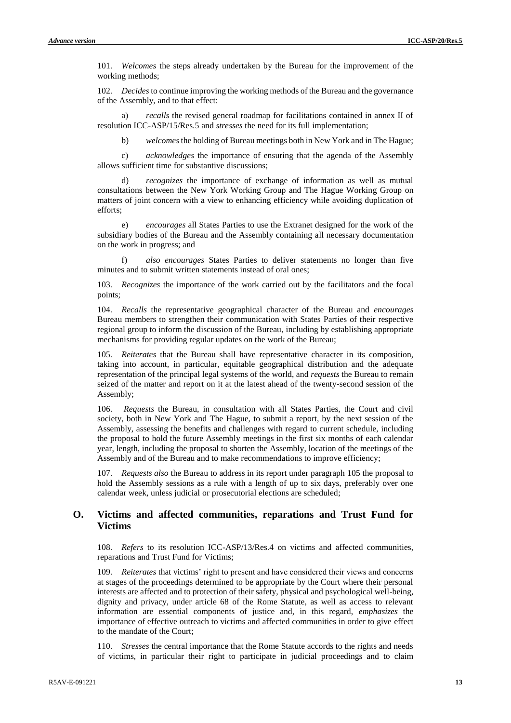101. *Welcomes* the steps already undertaken by the Bureau for the improvement of the working methods;

102. *Decides* to continue improving the working methods of the Bureau and the governance of the Assembly, and to that effect:

a) *recalls* the revised general roadmap for facilitations contained in annex II of resolution ICC-ASP/15/Res.5 and *stresses* the need for its full implementation;

b) *welcomes*the holding of Bureau meetings both in New York and in The Hague;

c) *acknowledges* the importance of ensuring that the agenda of the Assembly allows sufficient time for substantive discussions;

d) *recognizes* the importance of exchange of information as well as mutual consultations between the New York Working Group and The Hague Working Group on matters of joint concern with a view to enhancing efficiency while avoiding duplication of efforts;

e) *encourages* all States Parties to use the Extranet designed for the work of the subsidiary bodies of the Bureau and the Assembly containing all necessary documentation on the work in progress; and

f) *also encourages* States Parties to deliver statements no longer than five minutes and to submit written statements instead of oral ones;

103. *Recognizes* the importance of the work carried out by the facilitators and the focal points;

104. *Recalls* the representative geographical character of the Bureau and *encourages* Bureau members to strengthen their communication with States Parties of their respective regional group to inform the discussion of the Bureau, including by establishing appropriate mechanisms for providing regular updates on the work of the Bureau;

105. *Reiterates* that the Bureau shall have representative character in its composition, taking into account, in particular, equitable geographical distribution and the adequate representation of the principal legal systems of the world, and *requests* the Bureau to remain seized of the matter and report on it at the latest ahead of the twenty-second session of the Assembly;

106. *Requests* the Bureau, in consultation with all States Parties, the Court and civil society, both in New York and The Hague, to submit a report, by the next session of the Assembly, assessing the benefits and challenges with regard to current schedule, including the proposal to hold the future Assembly meetings in the first six months of each calendar year, length, including the proposal to shorten the Assembly, location of the meetings of the Assembly and of the Bureau and to make recommendations to improve efficiency;

107. *Requests also* the Bureau to address in its report under paragraph 105 the proposal to hold the Assembly sessions as a rule with a length of up to six days, preferably over one calendar week, unless judicial or prosecutorial elections are scheduled;

## **O. Victims and affected communities, reparations and Trust Fund for Victims**

108. *Refers* to its resolution ICC-ASP/13/Res.4 on victims and affected communities, reparations and Trust Fund for Victims;

109. *Reiterates* that victims' right to present and have considered their views and concerns at stages of the proceedings determined to be appropriate by the Court where their personal interests are affected and to protection of their safety, physical and psychological well-being, dignity and privacy, under article 68 of the Rome Statute, as well as access to relevant information are essential components of justice and, in this regard, *emphasizes* the importance of effective outreach to victims and affected communities in order to give effect to the mandate of the Court;

110. *Stresses* the central importance that the Rome Statute accords to the rights and needs of victims, in particular their right to participate in judicial proceedings and to claim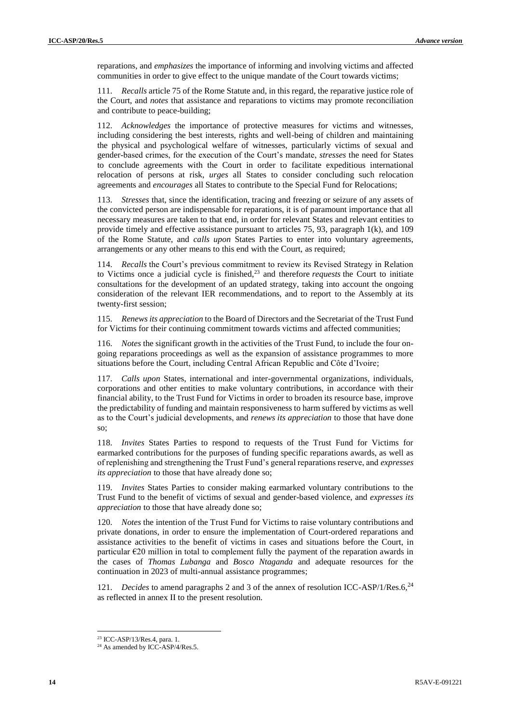reparations, and *emphasizes* the importance of informing and involving victims and affected communities in order to give effect to the unique mandate of the Court towards victims;

111. *Recalls* article 75 of the Rome Statute and, in this regard, the reparative justice role of the Court, and *notes* that assistance and reparations to victims may promote reconciliation and contribute to peace-building;

112. *Acknowledges* the importance of protective measures for victims and witnesses, including considering the best interests, rights and well-being of children and maintaining the physical and psychological welfare of witnesses, particularly victims of sexual and gender-based crimes, for the execution of the Court's mandate, *stresses* the need for States to conclude agreements with the Court in order to facilitate expeditious international relocation of persons at risk, *urges* all States to consider concluding such relocation agreements and *encourages* all States to contribute to the Special Fund for Relocations;

113. *Stresses* that, since the identification, tracing and freezing or seizure of any assets of the convicted person are indispensable for reparations, it is of paramount importance that all necessary measures are taken to that end, in order for relevant States and relevant entities to provide timely and effective assistance pursuant to articles 75, 93, paragraph 1(k), and 109 of the Rome Statute, and *calls upon* States Parties to enter into voluntary agreements, arrangements or any other means to this end with the Court, as required;

114. *Recalls* the Court's previous commitment to review its Revised Strategy in Relation to Victims once a judicial cycle is finished,<sup>23</sup> and therefore *requests* the Court to initiate consultations for the development of an updated strategy, taking into account the ongoing consideration of the relevant IER recommendations, and to report to the Assembly at its twenty-first session;

115. *Renews its appreciation* to the Board of Directors and the Secretariat of the Trust Fund for Victims for their continuing commitment towards victims and affected communities;

116. *Notes* the significant growth in the activities of the Trust Fund, to include the four ongoing reparations proceedings as well as the expansion of assistance programmes to more situations before the Court, including Central African Republic and Côte d'Ivoire;

117. *Calls upon* States, international and inter-governmental organizations, individuals, corporations and other entities to make voluntary contributions, in accordance with their financial ability, to the Trust Fund for Victims in order to broaden its resource base, improve the predictability of funding and maintain responsiveness to harm suffered by victims as well as to the Court's judicial developments, and *renews its appreciation* to those that have done so;

118. *Invites* States Parties to respond to requests of the Trust Fund for Victims for earmarked contributions for the purposes of funding specific reparations awards, as well as of replenishing and strengthening the Trust Fund's general reparations reserve, and *expresses its appreciation* to those that have already done so;

119. *Invites* States Parties to consider making earmarked voluntary contributions to the Trust Fund to the benefit of victims of sexual and gender-based violence, and *expresses its appreciation* to those that have already done so;

120. *Notes* the intention of the Trust Fund for Victims to raise voluntary contributions and private donations, in order to ensure the implementation of Court-ordered reparations and assistance activities to the benefit of victims in cases and situations before the Court, in particular  $\epsilon$ 20 million in total to complement fully the payment of the reparation awards in the cases of *Thomas Lubanga* and *Bosco Ntaganda* and adequate resources for the continuation in 2023 of multi-annual assistance programmes;

121. *Decides* to amend paragraphs 2 and 3 of the annex of resolution ICC-ASP/1/Res.6,<sup>24</sup> as reflected in annex II to the present resolution.

<sup>23</sup> ICC-ASP/13/Res.4, para. 1.

 $24$  As amended by ICC-ASP/4/Res.5.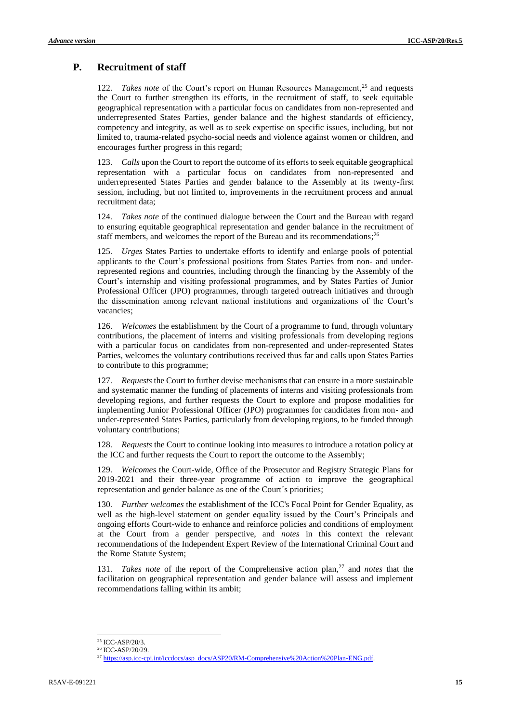# **P. Recruitment of staff**

122. *Takes note* of the Court's report on Human Resources Management,<sup>25</sup> and requests the Court to further strengthen its efforts, in the recruitment of staff, to seek equitable geographical representation with a particular focus on candidates from non-represented and underrepresented States Parties, gender balance and the highest standards of efficiency, competency and integrity, as well as to seek expertise on specific issues, including, but not limited to, trauma-related psycho-social needs and violence against women or children, and encourages further progress in this regard;

123. *Calls* upon the Court to report the outcome of its efforts to seek equitable geographical representation with a particular focus on candidates from non-represented and underrepresented States Parties and gender balance to the Assembly at its twenty-first session, including, but not limited to, improvements in the recruitment process and annual recruitment data;

124. *Takes note* of the continued dialogue between the Court and the Bureau with regard to ensuring equitable geographical representation and gender balance in the recruitment of staff members, and welcomes the report of the Bureau and its recommendations;<sup>26</sup>

125. *Urges* States Parties to undertake efforts to identify and enlarge pools of potential applicants to the Court's professional positions from States Parties from non- and underrepresented regions and countries, including through the financing by the Assembly of the Court's internship and visiting professional programmes, and by States Parties of Junior Professional Officer (JPO) programmes, through targeted outreach initiatives and through the dissemination among relevant national institutions and organizations of the Court's vacancies;

126. *Welcomes* the establishment by the Court of a programme to fund, through voluntary contributions, the placement of interns and visiting professionals from developing regions with a particular focus on candidates from non-represented and under-represented States Parties, welcomes the voluntary contributions received thus far and calls upon States Parties to contribute to this programme;

127. *Requests* the Court to further devise mechanisms that can ensure in a more sustainable and systematic manner the funding of placements of interns and visiting professionals from developing regions, and further requests the Court to explore and propose modalities for implementing Junior Professional Officer (JPO) programmes for candidates from non- and under-represented States Parties, particularly from developing regions, to be funded through voluntary contributions;

128. *Requests* the Court to continue looking into measures to introduce a rotation policy at the ICC and further requests the Court to report the outcome to the Assembly;

129. *Welcomes* the Court-wide, Office of the Prosecutor and Registry Strategic Plans for 2019-2021 and their three-year programme of action to improve the geographical representation and gender balance as one of the Court´s priorities;

130. *Further welcomes* the establishment of the ICC's Focal Point for Gender Equality, as well as the high-level statement on gender equality issued by the Court's Principals and ongoing efforts Court-wide to enhance and reinforce policies and conditions of employment at the Court from a gender perspective, and *notes* in this context the relevant recommendations of the Independent Expert Review of the International Criminal Court and the Rome Statute System;

131. *Takes note* of the report of the Comprehensive action plan,<sup>27</sup> and *notes* that the facilitation on geographical representation and gender balance will assess and implement recommendations falling within its ambit;

<sup>25</sup> ICC-ASP/20/3.

<sup>26</sup> ICC-ASP/20/29.

<sup>&</sup>lt;sup>27</sup> [https://asp.icc-cpi.int/iccdocs/asp\\_docs/ASP20/RM-Comprehensive%20Action%20Plan-ENG.pdf.](https://asp.icc-cpi.int/iccdocs/asp_docs/ASP20/RM-Comprehensive%20Action%20Plan-ENG.pdf)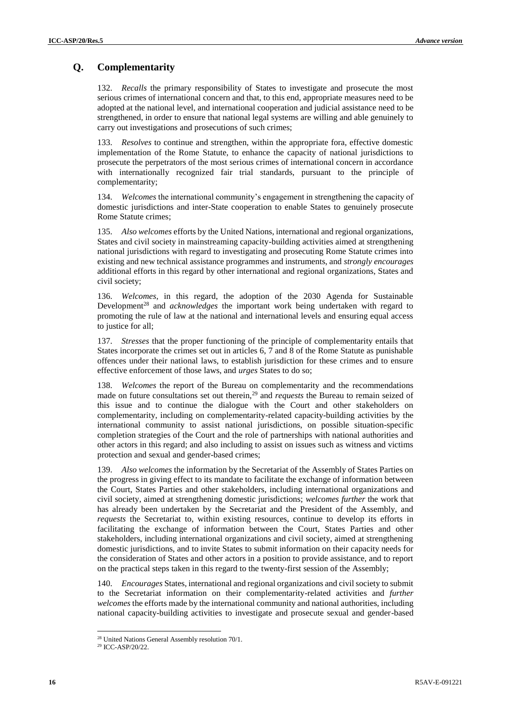## **Q. Complementarity**

132. *Recalls* the primary responsibility of States to investigate and prosecute the most serious crimes of international concern and that, to this end, appropriate measures need to be adopted at the national level, and international cooperation and judicial assistance need to be strengthened, in order to ensure that national legal systems are willing and able genuinely to carry out investigations and prosecutions of such crimes;

133. *Resolves* to continue and strengthen, within the appropriate fora, effective domestic implementation of the Rome Statute, to enhance the capacity of national jurisdictions to prosecute the perpetrators of the most serious crimes of international concern in accordance with internationally recognized fair trial standards, pursuant to the principle of complementarity;

134. *Welcomes* the international community's engagement in strengthening the capacity of domestic jurisdictions and inter-State cooperation to enable States to genuinely prosecute Rome Statute crimes;

135. *Also welcomes* efforts by the United Nations, international and regional organizations, States and civil society in mainstreaming capacity-building activities aimed at strengthening national jurisdictions with regard to investigating and prosecuting Rome Statute crimes into existing and new technical assistance programmes and instruments, and *strongly encourages* additional efforts in this regard by other international and regional organizations, States and civil society;

136. *Welcomes*, in this regard, the adoption of the 2030 Agenda for Sustainable Development<sup>28</sup> and *acknowledges* the important work being undertaken with regard to promoting the rule of law at the national and international levels and ensuring equal access to justice for all;

137. *Stresses* that the proper functioning of the principle of complementarity entails that States incorporate the crimes set out in articles 6, 7 and 8 of the Rome Statute as punishable offences under their national laws, to establish jurisdiction for these crimes and to ensure effective enforcement of those laws, and *urges* States to do so;

138. *Welcomes* the report of the Bureau on complementarity and the recommendations made on future consultations set out therein,<sup>29</sup> and *requests* the Bureau to remain seized of this issue and to continue the dialogue with the Court and other stakeholders on complementarity, including on complementarity-related capacity-building activities by the international community to assist national jurisdictions, on possible situation-specific completion strategies of the Court and the role of partnerships with national authorities and other actors in this regard; and also including to assist on issues such as witness and victims protection and sexual and gender-based crimes;

139. *Also welcomes* the information by the Secretariat of the Assembly of States Parties on the progress in giving effect to its mandate to facilitate the exchange of information between the Court, States Parties and other stakeholders, including international organizations and civil society, aimed at strengthening domestic jurisdictions; *welcomes further* the work that has already been undertaken by the Secretariat and the President of the Assembly, and *requests* the Secretariat to, within existing resources, continue to develop its efforts in facilitating the exchange of information between the Court, States Parties and other stakeholders, including international organizations and civil society, aimed at strengthening domestic jurisdictions, and to invite States to submit information on their capacity needs for the consideration of States and other actors in a position to provide assistance, and to report on the practical steps taken in this regard to the twenty-first session of the Assembly;

140. *Encourages* States, international and regional organizations and civil society to submit to the Secretariat information on their complementarity-related activities and *further welcomes* the efforts made by the international community and national authorities, including national capacity-building activities to investigate and prosecute sexual and gender-based

<sup>&</sup>lt;sup>28</sup> United Nations General Assembly resolution 70/1.

<sup>29</sup> ICC-ASP/20/22.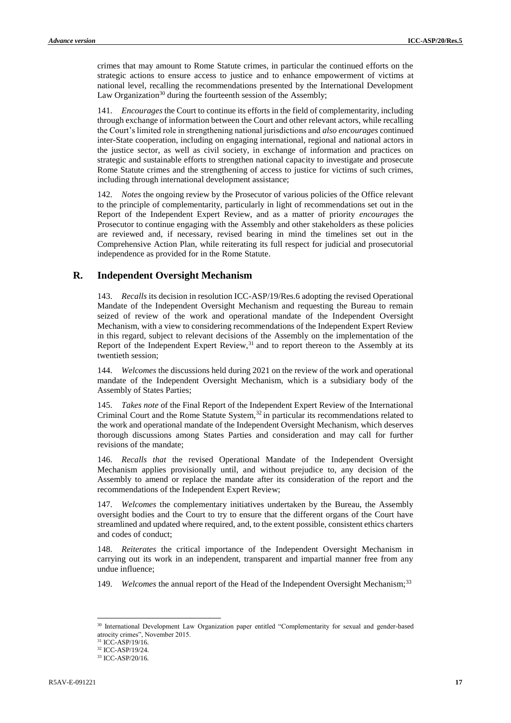crimes that may amount to Rome Statute crimes, in particular the continued efforts on the strategic actions to ensure access to justice and to enhance empowerment of victims at national level, recalling the recommendations presented by the International Development Law Organization<sup>30</sup> during the fourteenth session of the Assembly;

141. *Encourages* the Court to continue its efforts in the field of complementarity, including through exchange of information between the Court and other relevant actors, while recalling the Court's limited role in strengthening national jurisdictions and *also encourages* continued inter-State cooperation, including on engaging international, regional and national actors in the justice sector, as well as civil society, in exchange of information and practices on strategic and sustainable efforts to strengthen national capacity to investigate and prosecute Rome Statute crimes and the strengthening of access to justice for victims of such crimes, including through international development assistance;

142. *Notes* the ongoing review by the Prosecutor of various policies of the Office relevant to the principle of complementarity, particularly in light of recommendations set out in the Report of the Independent Expert Review, and as a matter of priority *encourages* the Prosecutor to continue engaging with the Assembly and other stakeholders as these policies are reviewed and, if necessary, revised bearing in mind the timelines set out in the Comprehensive Action Plan, while reiterating its full respect for judicial and prosecutorial independence as provided for in the Rome Statute.

#### **R. Independent Oversight Mechanism**

143. *Recalls* its decision in resolution ICC-ASP/19/Res.6 adopting the revised Operational Mandate of the Independent Oversight Mechanism and requesting the Bureau to remain seized of review of the work and operational mandate of the Independent Oversight Mechanism, with a view to considering recommendations of the Independent Expert Review in this regard, subject to relevant decisions of the Assembly on the implementation of the Report of the Independent Expert Review,<sup>31</sup> and to report thereon to the Assembly at its twentieth session;

144. *Welcomes* the discussions held during 2021 on the review of the work and operational mandate of the Independent Oversight Mechanism, which is a subsidiary body of the Assembly of States Parties;

145. *Takes note* of the Final Report of the Independent Expert Review of the International Criminal Court and the Rome Statute System, $32$  in particular its recommendations related to the work and operational mandate of the Independent Oversight Mechanism, which deserves thorough discussions among States Parties and consideration and may call for further revisions of the mandate;

146. *Recalls that* the revised Operational Mandate of the Independent Oversight Mechanism applies provisionally until, and without prejudice to, any decision of the Assembly to amend or replace the mandate after its consideration of the report and the recommendations of the Independent Expert Review;

147. *Welcomes* the complementary initiatives undertaken by the Bureau, the Assembly oversight bodies and the Court to try to ensure that the different organs of the Court have streamlined and updated where required, and, to the extent possible, consistent ethics charters and codes of conduct;

Reiterates the critical importance of the Independent Oversight Mechanism in carrying out its work in an independent, transparent and impartial manner free from any undue influence;

149. *Welcomes* the annual report of the Head of the Independent Oversight Mechanism;<sup>33</sup>

<sup>30</sup> International Development Law Organization paper entitled "Complementarity for sexual and gender-based atrocity crimes", November 2015.

<sup>&</sup>lt;sup>31</sup> ICC-ASP/19/16.

<sup>32</sup> ICC-ASP/19/24.

<sup>33</sup> ICC-ASP/20/16.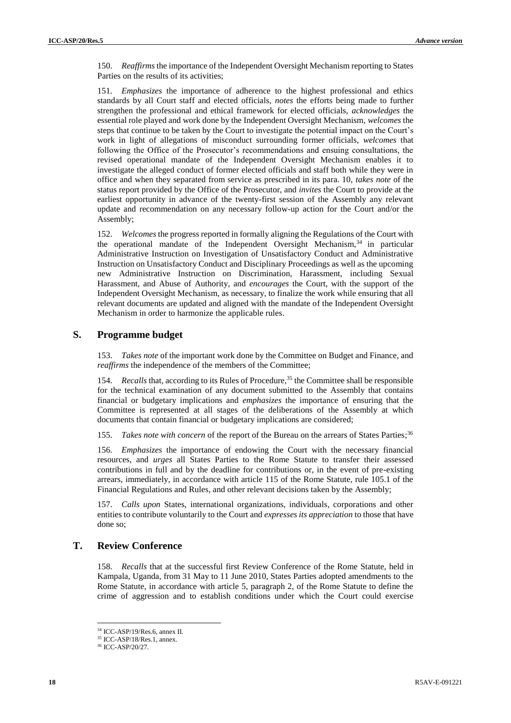150. *Reaffirms* the importance of the Independent Oversight Mechanism reporting to States Parties on the results of its activities;

151. *Emphasizes* the importance of adherence to the highest professional and ethics standards by all Court staff and elected officials, *notes* the efforts being made to further strengthen the professional and ethical framework for elected officials, *acknowledges* the essential role played and work done by the Independent Oversight Mechanism, *welcomes* the steps that continue to be taken by the Court to investigate the potential impact on the Court's work in light of allegations of misconduct surrounding former officials, *welcomes* that following the Office of the Prosecutor's recommendations and ensuing consultations, the revised operational mandate of the Independent Oversight Mechanism enables it to investigate the alleged conduct of former elected officials and staff both while they were in office and when they separated from service as prescribed in its para. 10, *takes note* of the status report provided by the Office of the Prosecutor, and *invites* the Court to provide at the earliest opportunity in advance of the twenty-first session of the Assembly any relevant update and recommendation on any necessary follow-up action for the Court and/or the Assembly;

152. *Welcomes* the progress reported in formally aligning the Regulations of the Court with the operational mandate of the Independent Oversight Mechanism,<sup>34</sup> in particular Administrative Instruction on Investigation of Unsatisfactory Conduct and Administrative Instruction on Unsatisfactory Conduct and Disciplinary Proceedings as well as the upcoming new Administrative Instruction on Discrimination, Harassment, including Sexual Harassment, and Abuse of Authority, and *encourages* the Court, with the support of the Independent Oversight Mechanism, as necessary, to finalize the work while ensuring that all relevant documents are updated and aligned with the mandate of the Independent Oversight Mechanism in order to harmonize the applicable rules.

### **S. Programme budget**

153. *Takes note* of the important work done by the Committee on Budget and Finance, and *reaffirms* the independence of the members of the Committee;

154. *Recalls* that, according to its Rules of Procedure,<sup>35</sup> the Committee shall be responsible for the technical examination of any document submitted to the Assembly that contains financial or budgetary implications and *emphasizes* the importance of ensuring that the Committee is represented at all stages of the deliberations of the Assembly at which documents that contain financial or budgetary implications are considered;

155. *Takes note with concern* of the report of the Bureau on the arrears of States Parties; 36

156. *Emphasizes* the importance of endowing the Court with the necessary financial resources, and *urges* all States Parties to the Rome Statute to transfer their assessed contributions in full and by the deadline for contributions or, in the event of pre-existing arrears, immediately, in accordance with article 115 of the Rome Statute, rule 105.1 of the Financial Regulations and Rules, and other relevant decisions taken by the Assembly;

157. *Calls upon* States, international organizations, individuals, corporations and other entities to contribute voluntarily to the Court and *expresses its appreciation* to those that have done so;

### **T. Review Conference**

158. *Recalls* that at the successful first Review Conference of the Rome Statute, held in Kampala, Uganda, from 31 May to 11 June 2010, States Parties adopted amendments to the Rome Statute, in accordance with article 5, paragraph 2, of the Rome Statute to define the crime of aggression and to establish conditions under which the Court could exercise

<sup>34</sup> ICC-ASP/19/Res.6, annex II.

<sup>35</sup> ICC-ASP/18/Res.1, annex.

<sup>36</sup> ICC-ASP/20/27.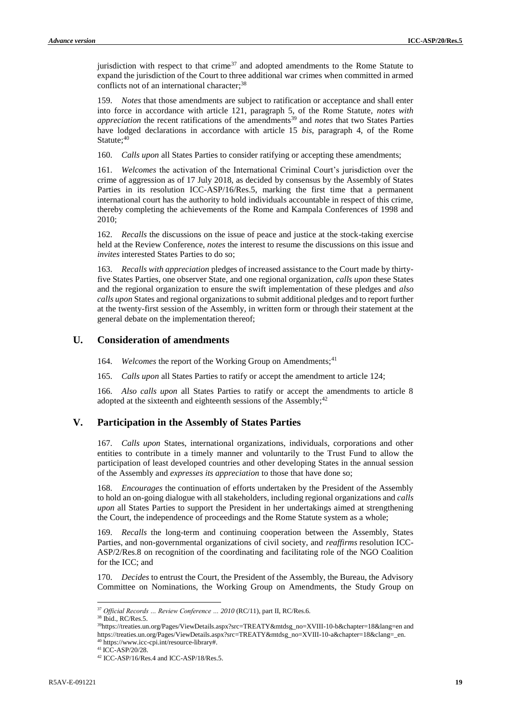jurisdiction with respect to that crime $37$  and adopted amendments to the Rome Statute to expand the jurisdiction of the Court to three additional war crimes when committed in armed conflicts not of an international character; 38

159. *Notes* that those amendments are subject to ratification or acceptance and shall enter into force in accordance with article 121, paragraph 5, of the Rome Statute, *notes with appreciation* the recent ratifications of the amendments<sup>39</sup> and *notes* that two States Parties have lodged declarations in accordance with article 15 *bis*, paragraph 4, of the Rome Statute:40

160. *Calls upon* all States Parties to consider ratifying or accepting these amendments;

161. *Welcomes* the activation of the International Criminal Court's jurisdiction over the crime of aggression as of 17 July 2018, as decided by consensus by the Assembly of States Parties in its resolution ICC-ASP/16/Res.5, marking the first time that a permanent international court has the authority to hold individuals accountable in respect of this crime, thereby completing the achievements of the Rome and Kampala Conferences of 1998 and 2010;

162. *Recalls* the discussions on the issue of peace and justice at the stock-taking exercise held at the Review Conference, *notes* the interest to resume the discussions on this issue and *invites* interested States Parties to do so;

163. *Recalls with appreciation* pledges of increased assistance to the Court made by thirtyfive States Parties, one observer State, and one regional organization, *calls upon* these States and the regional organization to ensure the swift implementation of these pledges and *also calls upon* States and regional organizations to submit additional pledges and to report further at the twenty-first session of the Assembly, in written form or through their statement at the general debate on the implementation thereof;

#### **U. Consideration of amendments**

164. *Welcomes* the report of the Working Group on Amendments;<sup>41</sup>

165. *Calls upon* all States Parties to ratify or accept the amendment to article 124;

166. *Also calls upon* all States Parties to ratify or accept the amendments to article 8 adopted at the sixteenth and eighteenth sessions of the Assembly; $42$ 

### **V. Participation in the Assembly of States Parties**

167. *Calls upon* States, international organizations, individuals, corporations and other entities to contribute in a timely manner and voluntarily to the Trust Fund to allow the participation of least developed countries and other developing States in the annual session of the Assembly and *expresses its appreciation* to those that have done so;

168. *Encourages* the continuation of efforts undertaken by the President of the Assembly to hold an on-going dialogue with all stakeholders, including regional organizations and *calls upon* all States Parties to support the President in her undertakings aimed at strengthening the Court, the independence of proceedings and the Rome Statute system as a whole;

169. *Recalls* the long-term and continuing cooperation between the Assembly, States Parties, and non-governmental organizations of civil society, and *reaffirms* resolution ICC-ASP/2/Res.8 on recognition of the coordinating and facilitating role of the NGO Coalition for the ICC; and

170. *Decides* to entrust the Court, the President of the Assembly, the Bureau, the Advisory Committee on Nominations, the Working Group on Amendments, the Study Group on

<sup>37</sup> *Official Records … Review Conference … 2010* (RC/11), part II, RC/Res.6.

<sup>38</sup> Ibid., RC/Res.5.

<sup>39</sup>[https://treaties.un.org/Pages/ViewDetails.aspx?src=TREATY&mtdsg\\_no=XVIII-10-b&chapter=18&lang=en](https://treaties.un.org/Pages/ViewDetails.aspx?src=TREATY&mtdsg_no=XVIII-10-b&chapter=18&lang=en) and https://treaties.un.org/Pages/ViewDetails.aspx?src=TREATY&mtdsg\_no=XVIII-10-a&chapter=18&clang=\_en. <sup>40</sup> [https://www.icc-cpi.int/resource-library#.](https://www.icc-cpi.int/resource-library)

<sup>41</sup> ICC-ASP/20/28.

<sup>42</sup> ICC-ASP/16/Res.4 and ICC-ASP/18/Res.5.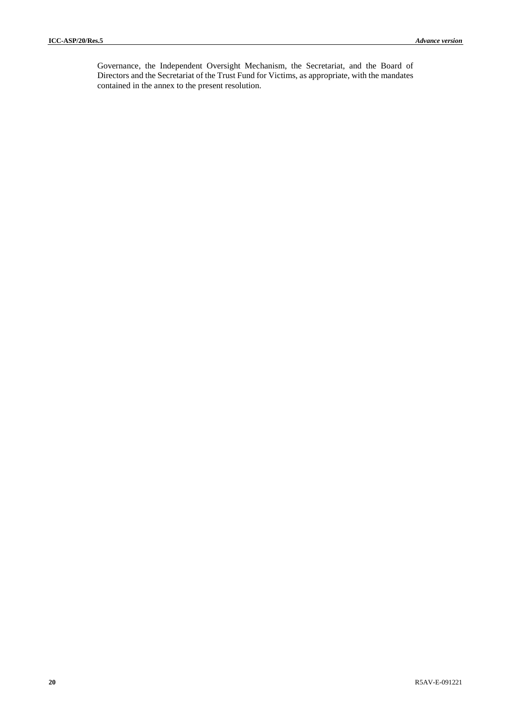Governance, the Independent Oversight Mechanism, the Secretariat, and the Board of Directors and the Secretariat of the Trust Fund for Victims, as appropriate, with the mandates contained in the annex to the present resolution.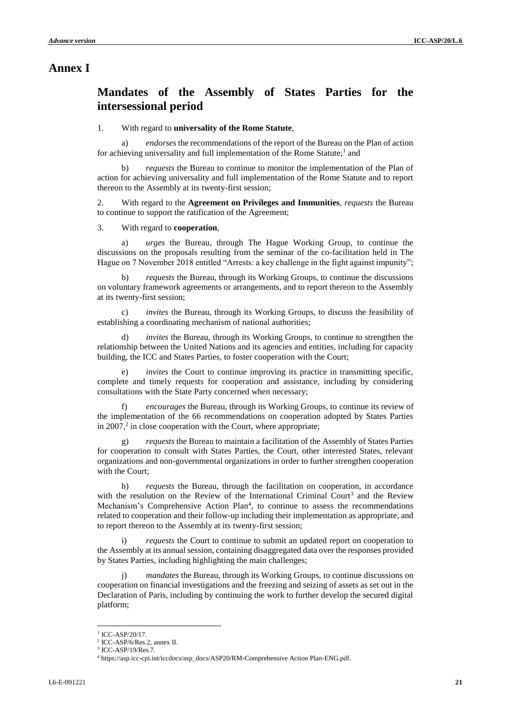# **Annex I**

# **Mandates of the Assembly of States Parties for the intersessional period**

### 1. With regard to **universality of the Rome Statute**,

a) *endorses* the recommendations of the report of the Bureau on the Plan of action for achieving universality and full implementation of the Rome Statute;<sup>1</sup> and

b) *requests* the Bureau to continue to monitor the implementation of the Plan of action for achieving universality and full implementation of the Rome Statute and to report thereon to the Assembly at its twenty-first session;

2. With regard to the **Agreement on Privileges and Immunities**, *requests* the Bureau to continue to support the ratification of the Agreement;

#### 3. With regard to **cooperation**,

a) *urges* the Bureau, through The Hague Working Group, to continue the discussions on the proposals resulting from the seminar of the co-facilitation held in The Hague on 7 November 2018 entitled "Arrests: a key challenge in the fight against impunity";

b) *requests* the Bureau, through its Working Groups, to continue the discussions on voluntary framework agreements or arrangements, and to report thereon to the Assembly at its twenty-first session;

*invites* the Bureau, through its Working Groups, to discuss the feasibility of establishing a coordinating mechanism of national authorities;

*invites* the Bureau, through its Working Groups, to continue to strengthen the relationship between the United Nations and its agencies and entities, including for capacity building, the ICC and States Parties, to foster cooperation with the Court;

e) *invites* the Court to continue improving its practice in transmitting specific, complete and timely requests for cooperation and assistance, including by considering consultations with the State Party concerned when necessary;

*encourages* the Bureau, through its Working Groups, to continue its review of the implementation of the 66 recommendations on cooperation adopted by States Parties in 2007, $2$  in close cooperation with the Court, where appropriate;

g) *requests* the Bureau to maintain a facilitation of the Assembly of States Parties for cooperation to consult with States Parties, the Court, other interested States, relevant organizations and non-governmental organizations in order to further strengthen cooperation with the Court;

h) *requests* the Bureau, through the facilitation on cooperation, in accordance with the resolution on the Review of the International Criminal Court<sup>3</sup> and the Review Mechanism's Comprehensive Action Plan<sup>4</sup>, to continue to assess the recommendations related to cooperation and their follow-up including their implementation as appropriate, and to report thereon to the Assembly at its twenty-first session;

i) *requests* the Court to continue to submit an updated report on cooperation to the Assembly at its annual session, containing disaggregated data over the responses provided by States Parties, including highlighting the main challenges;

j) *mandates* the Bureau, through its Working Groups, to continue discussions on cooperation on financial investigations and the freezing and seizing of assets as set out in the Declaration of Paris, including by continuing the work to further develop the secured digital platform;

<sup>1</sup> ICC-ASP/20/17.

<sup>2</sup> ICC-ASP/6/Res.2, annex II.

<sup>3</sup> ICC-ASP/19/Res.7.

<sup>4</sup> https://asp.icc-cpi.int/iccdocs/asp\_docs/ASP20/RM-Comprehensive Action Plan-ENG.pdf.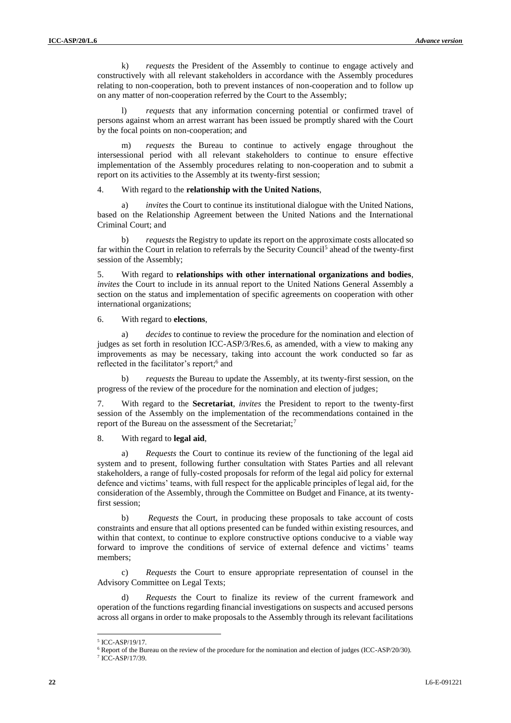k) *requests* the President of the Assembly to continue to engage actively and constructively with all relevant stakeholders in accordance with the Assembly procedures relating to non-cooperation, both to prevent instances of non-cooperation and to follow up on any matter of non-cooperation referred by the Court to the Assembly;

*requests* that any information concerning potential or confirmed travel of persons against whom an arrest warrant has been issued be promptly shared with the Court by the focal points on non-cooperation; and

m) *requests* the Bureau to continue to actively engage throughout the intersessional period with all relevant stakeholders to continue to ensure effective implementation of the Assembly procedures relating to non-cooperation and to submit a report on its activities to the Assembly at its twenty-first session;

4. With regard to the **relationship with the United Nations**,

a) *invites* the Court to continue its institutional dialogue with the United Nations, based on the Relationship Agreement between the United Nations and the International Criminal Court; and

b) *requests* the Registry to update its report on the approximate costs allocated so far within the Court in relation to referrals by the Security Council<sup>5</sup> ahead of the twenty-first session of the Assembly;

5. With regard to **relationships with other international organizations and bodies**, *invites* the Court to include in its annual report to the United Nations General Assembly a section on the status and implementation of specific agreements on cooperation with other international organizations;

6. With regard to **elections**,

a) *decides* to continue to review the procedure for the nomination and election of judges as set forth in resolution ICC-ASP/3/Res.6, as amended, with a view to making any improvements as may be necessary, taking into account the work conducted so far as reflected in the facilitator's report;<sup>6</sup> and

b) *requests* the Bureau to update the Assembly, at its twenty-first session, on the progress of the review of the procedure for the nomination and election of judges;

7. With regard to the **Secretariat**, *invites* the President to report to the twenty-first session of the Assembly on the implementation of the recommendations contained in the report of the Bureau on the assessment of the Secretariat;<sup>7</sup>

8. With regard to **legal aid**,

a) *Requests* the Court to continue its review of the functioning of the legal aid system and to present, following further consultation with States Parties and all relevant stakeholders, a range of fully-costed proposals for reform of the legal aid policy for external defence and victims' teams, with full respect for the applicable principles of legal aid, for the consideration of the Assembly, through the Committee on Budget and Finance, at its twentyfirst session;

b) *Requests* the Court, in producing these proposals to take account of costs constraints and ensure that all options presented can be funded within existing resources, and within that context, to continue to explore constructive options conducive to a viable way forward to improve the conditions of service of external defence and victims' teams members;

c) *Requests* the Court to ensure appropriate representation of counsel in the Advisory Committee on Legal Texts;

d) *Requests* the Court to finalize its review of the current framework and operation of the functions regarding financial investigations on suspects and accused persons across all organs in order to make proposals to the Assembly through its relevant facilitations

 5 ICC-ASP/19/17.

<sup>6</sup> Report of the Bureau on the review of the procedure for the nomination and election of judges (ICC-ASP/20/30).

<sup>7</sup> ICC-ASP/17/39.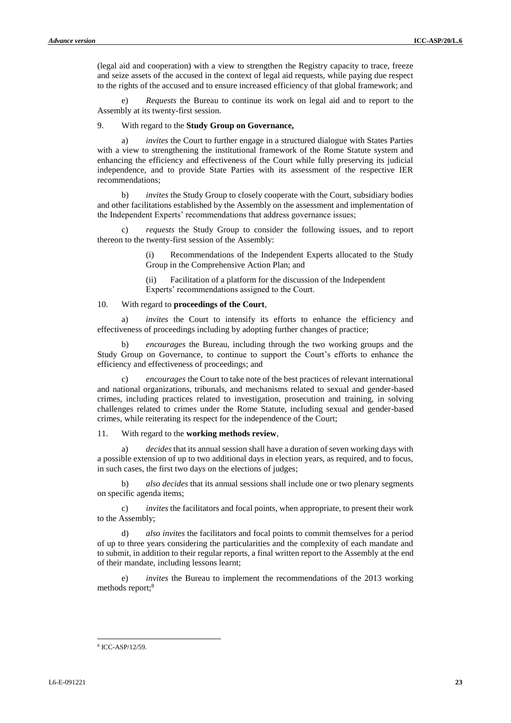(legal aid and cooperation) with a view to strengthen the Registry capacity to trace, freeze and seize assets of the accused in the context of legal aid requests, while paying due respect to the rights of the accused and to ensure increased efficiency of that global framework; and

*Requests* the Bureau to continue its work on legal aid and to report to the Assembly at its twenty-first session.

#### 9. With regard to the **Study Group on Governance,**

a) *invites* the Court to further engage in a structured dialogue with States Parties with a view to strengthening the institutional framework of the Rome Statute system and enhancing the efficiency and effectiveness of the Court while fully preserving its judicial independence, and to provide State Parties with its assessment of the respective IER recommendations;

b) *invites* the Study Group to closely cooperate with the Court, subsidiary bodies and other facilitations established by the Assembly on the assessment and implementation of the Independent Experts' recommendations that address governance issues;

c) *requests* the Study Group to consider the following issues, and to report thereon to the twenty-first session of the Assembly:

> (i) Recommendations of the Independent Experts allocated to the Study Group in the Comprehensive Action Plan; and

(ii) Facilitation of a platform for the discussion of the Independent Experts' recommendations assigned to the Court.

#### 10. With regard to **proceedings of the Court**,

*invites* the Court to intensify its efforts to enhance the efficiency and effectiveness of proceedings including by adopting further changes of practice;

b) *encourages* the Bureau, including through the two working groups and the Study Group on Governance, to continue to support the Court's efforts to enhance the efficiency and effectiveness of proceedings; and

c) *encourages* the Court to take note of the best practices of relevant international and national organizations, tribunals, and mechanisms related to sexual and gender-based crimes, including practices related to investigation, prosecution and training, in solving challenges related to crimes under the Rome Statute, including sexual and gender-based crimes, while reiterating its respect for the independence of the Court;

11. With regard to the **working methods review**,

a) *decides* that its annual session shall have a duration of seven working days with a possible extension of up to two additional days in election years, as required, and to focus, in such cases, the first two days on the elections of judges;

b) *also decides* that its annual sessions shall include one or two plenary segments on specific agenda items;

c) *invites* the facilitators and focal points, when appropriate, to present their work to the Assembly;

d) *also invites* the facilitators and focal points to commit themselves for a period of up to three years considering the particularities and the complexity of each mandate and to submit, in addition to their regular reports, a final written report to the Assembly at the end of their mandate, including lessons learnt;

e) *invites* the Bureau to implement the recommendations of the 2013 working methods report;<sup>8</sup>

<sup>8</sup> ICC-ASP/12/59.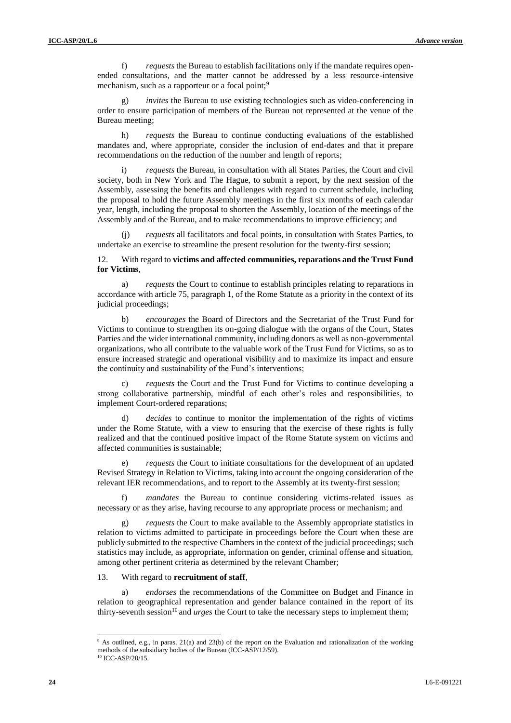f) *requests* the Bureau to establish facilitations only if the mandate requires openended consultations, and the matter cannot be addressed by a less resource-intensive mechanism, such as a rapporteur or a focal point;<sup>9</sup>

*invites* the Bureau to use existing technologies such as video-conferencing in order to ensure participation of members of the Bureau not represented at the venue of the Bureau meeting;

h) *requests* the Bureau to continue conducting evaluations of the established mandates and, where appropriate, consider the inclusion of end-dates and that it prepare recommendations on the reduction of the number and length of reports;

*requests* the Bureau, in consultation with all States Parties, the Court and civil society, both in New York and The Hague, to submit a report, by the next session of the Assembly, assessing the benefits and challenges with regard to current schedule, including the proposal to hold the future Assembly meetings in the first six months of each calendar year, length, including the proposal to shorten the Assembly, location of the meetings of the Assembly and of the Bureau, and to make recommendations to improve efficiency; and

(j) *requests* all facilitators and focal points, in consultation with States Parties, to undertake an exercise to streamline the present resolution for the twenty-first session;

#### 12. With regard to **victims and affected communities, reparations and the Trust Fund for Victims**,

a) *requests* the Court to continue to establish principles relating to reparations in accordance with article 75, paragraph 1, of the Rome Statute as a priority in the context of its judicial proceedings;

b) *encourages* the Board of Directors and the Secretariat of the Trust Fund for Victims to continue to strengthen its on-going dialogue with the organs of the Court, States Parties and the wider international community, including donors as well as non-governmental organizations, who all contribute to the valuable work of the Trust Fund for Victims, so as to ensure increased strategic and operational visibility and to maximize its impact and ensure the continuity and sustainability of the Fund's interventions;

*requests* the Court and the Trust Fund for Victims to continue developing a strong collaborative partnership, mindful of each other's roles and responsibilities, to implement Court-ordered reparations;

d) *decides* to continue to monitor the implementation of the rights of victims under the Rome Statute, with a view to ensuring that the exercise of these rights is fully realized and that the continued positive impact of the Rome Statute system on victims and affected communities is sustainable;

e) *requests* the Court to initiate consultations for the development of an updated Revised Strategy in Relation to Victims, taking into account the ongoing consideration of the relevant IER recommendations, and to report to the Assembly at its twenty-first session;

*mandates* the Bureau to continue considering victims-related issues as necessary or as they arise, having recourse to any appropriate process or mechanism; and

g) *requests* the Court to make available to the Assembly appropriate statistics in relation to victims admitted to participate in proceedings before the Court when these are publicly submitted to the respective Chambers in the context of the judicial proceedings; such statistics may include, as appropriate, information on gender, criminal offense and situation, among other pertinent criteria as determined by the relevant Chamber;

#### 13. With regard to **recruitment of staff**,

a) *endorses* the recommendations of the Committee on Budget and Finance in relation to geographical representation and gender balance contained in the report of its thirty-seventh session<sup>10</sup> and *urges* the Court to take the necessary steps to implement them;

<sup>9</sup> As outlined, e.g., in paras. 21(a) and 23(b) of the report on the Evaluation and rationalization of the working methods of the subsidiary bodies of the Bureau (ICC-ASP/12/59).

<sup>&</sup>lt;sup>10</sup> ICC-ASP/20/15.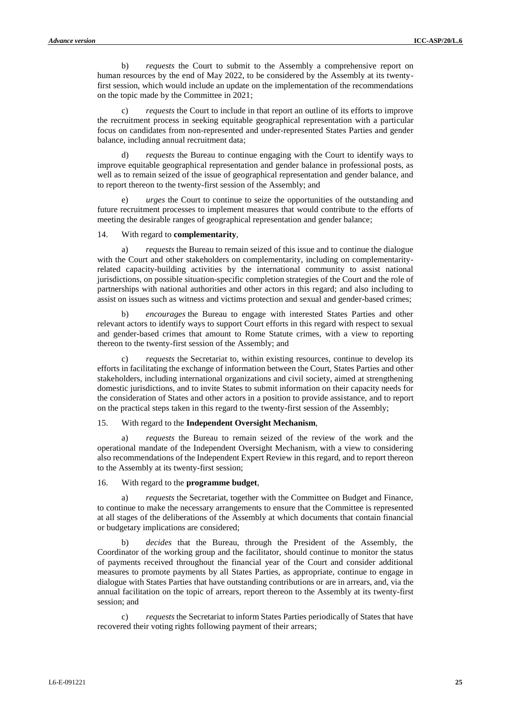b) *requests* the Court to submit to the Assembly a comprehensive report on human resources by the end of May 2022, to be considered by the Assembly at its twentyfirst session, which would include an update on the implementation of the recommendations on the topic made by the Committee in 2021;

*requests* the Court to include in that report an outline of its efforts to improve the recruitment process in seeking equitable geographical representation with a particular focus on candidates from non-represented and under-represented States Parties and gender balance, including annual recruitment data;

d) *requests* the Bureau to continue engaging with the Court to identify ways to improve equitable geographical representation and gender balance in professional posts, as well as to remain seized of the issue of geographical representation and gender balance, and to report thereon to the twenty-first session of the Assembly; and

*urges* the Court to continue to seize the opportunities of the outstanding and future recruitment processes to implement measures that would contribute to the efforts of meeting the desirable ranges of geographical representation and gender balance;

#### 14. With regard to **complementarity**,

a) *requests* the Bureau to remain seized of this issue and to continue the dialogue with the Court and other stakeholders on complementarity, including on complementarityrelated capacity-building activities by the international community to assist national jurisdictions, on possible situation-specific completion strategies of the Court and the role of partnerships with national authorities and other actors in this regard; and also including to assist on issues such as witness and victims protection and sexual and gender-based crimes;

b) *encourages* the Bureau to engage with interested States Parties and other relevant actors to identify ways to support Court efforts in this regard with respect to sexual and gender-based crimes that amount to Rome Statute crimes, with a view to reporting thereon to the twenty-first session of the Assembly; and

c) *requests* the Secretariat to, within existing resources, continue to develop its efforts in facilitating the exchange of information between the Court, States Parties and other stakeholders, including international organizations and civil society, aimed at strengthening domestic jurisdictions, and to invite States to submit information on their capacity needs for the consideration of States and other actors in a position to provide assistance, and to report on the practical steps taken in this regard to the twenty-first session of the Assembly;

#### 15. With regard to the **Independent Oversight Mechanism**,

*requests* the Bureau to remain seized of the review of the work and the operational mandate of the Independent Oversight Mechanism, with a view to considering also recommendations of the Independent Expert Review in this regard, and to report thereon to the Assembly at its twenty-first session;

#### 16. With regard to the **programme budget**,

*requests* the Secretariat, together with the Committee on Budget and Finance, to continue to make the necessary arrangements to ensure that the Committee is represented at all stages of the deliberations of the Assembly at which documents that contain financial or budgetary implications are considered;

b) *decides* that the Bureau, through the President of the Assembly, the Coordinator of the working group and the facilitator, should continue to monitor the status of payments received throughout the financial year of the Court and consider additional measures to promote payments by all States Parties, as appropriate, continue to engage in dialogue with States Parties that have outstanding contributions or are in arrears, and, via the annual facilitation on the topic of arrears, report thereon to the Assembly at its twenty-first session; and

*requests* the Secretariat to inform States Parties periodically of States that have recovered their voting rights following payment of their arrears;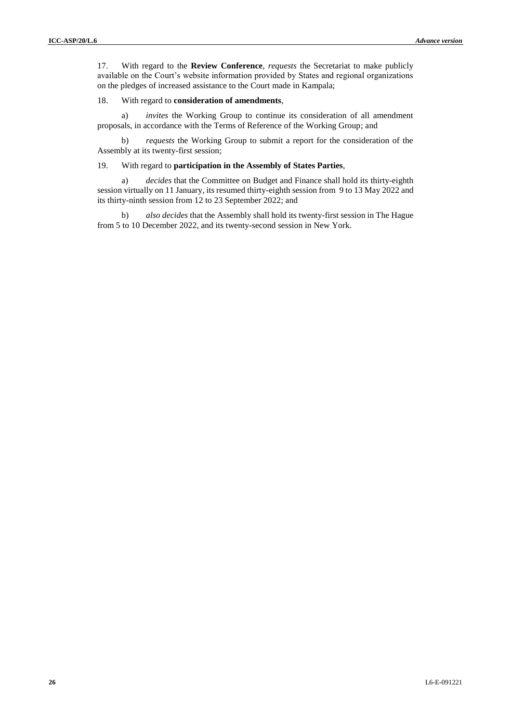17. With regard to the **Review Conference**, *requests* the Secretariat to make publicly available on the Court's website information provided by States and regional organizations on the pledges of increased assistance to the Court made in Kampala;

#### 18. With regard to **consideration of amendments**,

a) *invites* the Working Group to continue its consideration of all amendment proposals, in accordance with the Terms of Reference of the Working Group; and

b) *requests* the Working Group to submit a report for the consideration of the Assembly at its twenty-first session;

#### 19. With regard to **participation in the Assembly of States Parties**,

a) *decides* that the Committee on Budget and Finance shall hold its thirty-eighth session virtually on 11 January, its resumed thirty-eighth session from 9 to 13 May 2022 and its thirty-ninth session from 12 to 23 September 2022; and

b) *also decides* that the Assembly shall hold its twenty-first session in The Hague from 5 to 10 December 2022, and its twenty-second session in New York.